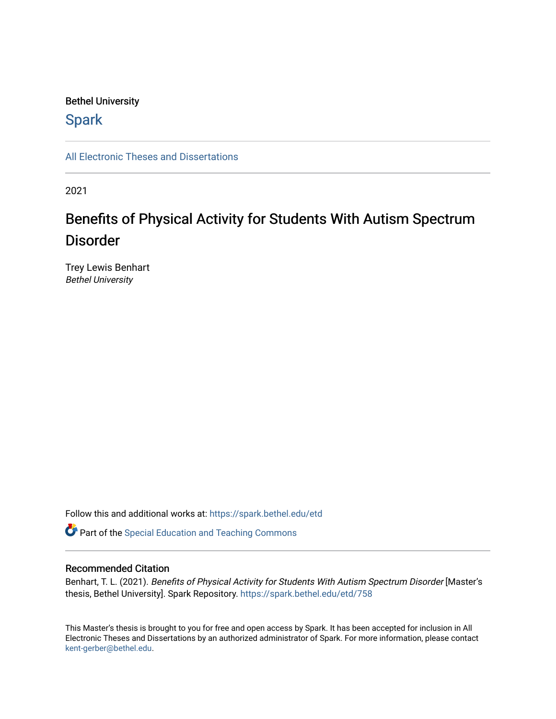## Bethel University

# **Spark**

[All Electronic Theses and Dissertations](https://spark.bethel.edu/etd) 

2021

# Benefits of Physical Activity for Students With Autism Spectrum Disorder

Trey Lewis Benhart Bethel University

Follow this and additional works at: [https://spark.bethel.edu/etd](https://spark.bethel.edu/etd?utm_source=spark.bethel.edu%2Fetd%2F758&utm_medium=PDF&utm_campaign=PDFCoverPages)

**Part of the Special Education and Teaching Commons** 

## Recommended Citation

Benhart, T. L. (2021). Benefits of Physical Activity for Students With Autism Spectrum Disorder [Master's thesis, Bethel University]. Spark Repository. [https://spark.bethel.edu/etd/758](https://spark.bethel.edu/etd/758?utm_source=spark.bethel.edu%2Fetd%2F758&utm_medium=PDF&utm_campaign=PDFCoverPages)

This Master's thesis is brought to you for free and open access by Spark. It has been accepted for inclusion in All Electronic Theses and Dissertations by an authorized administrator of Spark. For more information, please contact [kent-gerber@bethel.edu](mailto:kent-gerber@bethel.edu).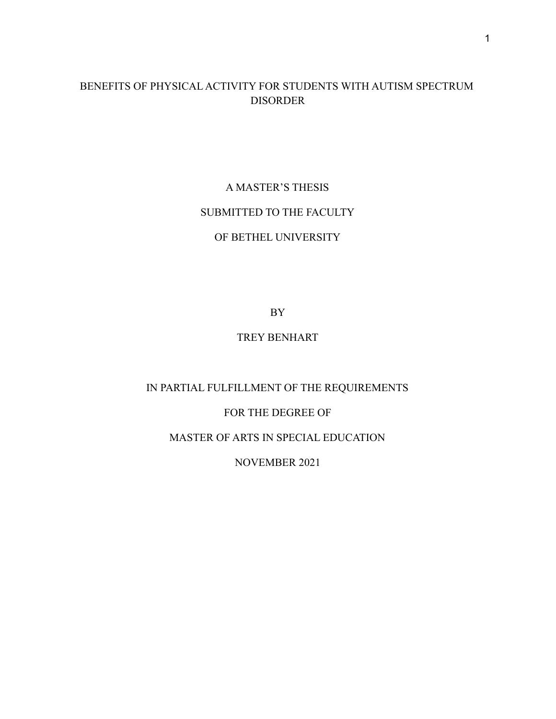# BENEFITS OF PHYSICAL ACTIVITY FOR STUDENTS WITH AUTISM SPECTRUM DISORDER

A MASTER'S THESIS SUBMITTED TO THE FACULTY OF BETHEL UNIVERSITY

BY

## TREY BENHART

## IN PARTIAL FULFILLMENT OF THE REQUIREMENTS

## FOR THE DEGREE OF

## MASTER OF ARTS IN SPECIAL EDUCATION

## NOVEMBER 2021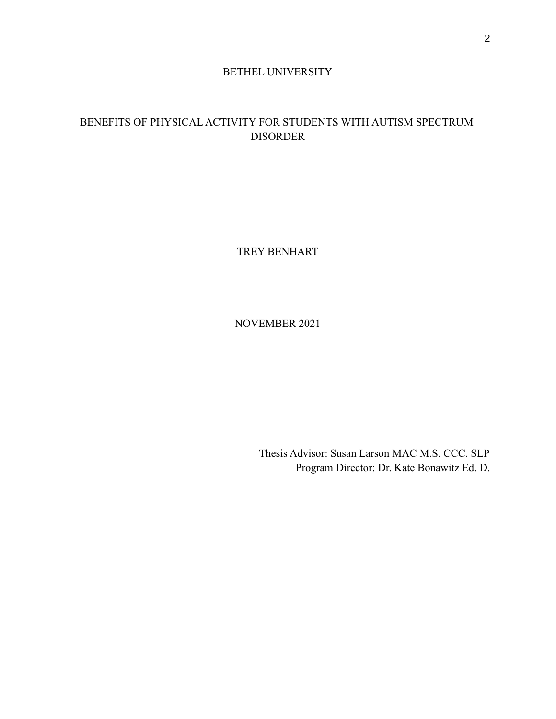## BETHEL UNIVERSITY

# BENEFITS OF PHYSICAL ACTIVITY FOR STUDENTS WITH AUTISM SPECTRUM DISORDER

TREY BENHART

NOVEMBER 2021

Thesis Advisor: Susan Larson MAC M.S. CCC. SLP Program Director: Dr. Kate Bonawitz Ed. D.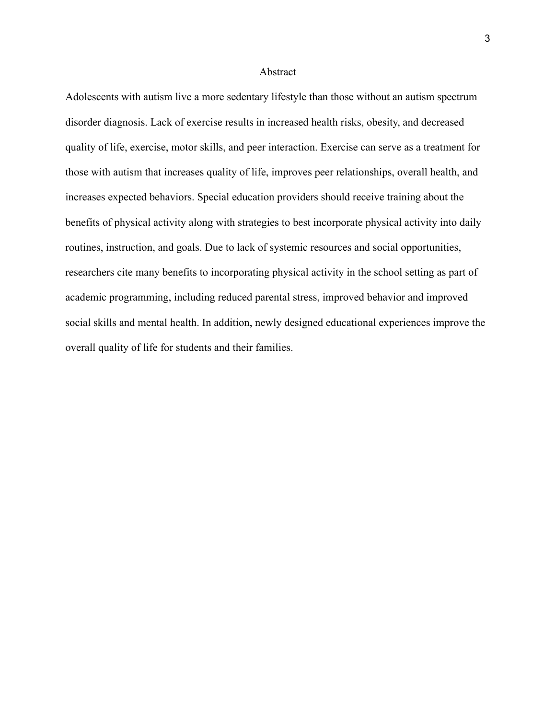#### Abstract

Adolescents with autism live a more sedentary lifestyle than those without an autism spectrum disorder diagnosis. Lack of exercise results in increased health risks, obesity, and decreased quality of life, exercise, motor skills, and peer interaction. Exercise can serve as a treatment for those with autism that increases quality of life, improves peer relationships, overall health, and increases expected behaviors. Special education providers should receive training about the benefits of physical activity along with strategies to best incorporate physical activity into daily routines, instruction, and goals. Due to lack of systemic resources and social opportunities, researchers cite many benefits to incorporating physical activity in the school setting as part of academic programming, including reduced parental stress, improved behavior and improved social skills and mental health. In addition, newly designed educational experiences improve the overall quality of life for students and their families.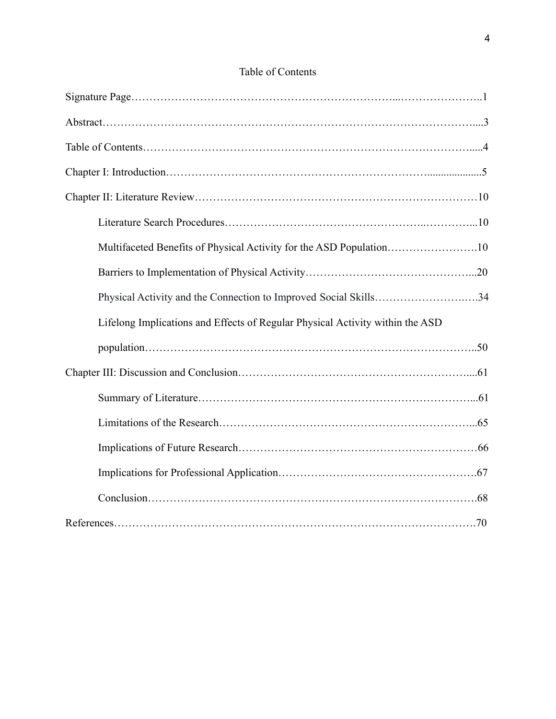| Multifaceted Benefits of Physical Activity for the ASD Population10           |  |
|-------------------------------------------------------------------------------|--|
|                                                                               |  |
| Physical Activity and the Connection to Improved Social Skills34              |  |
| Lifelong Implications and Effects of Regular Physical Activity within the ASD |  |
|                                                                               |  |
|                                                                               |  |
|                                                                               |  |
|                                                                               |  |
|                                                                               |  |
|                                                                               |  |
|                                                                               |  |
|                                                                               |  |

# Table of Contents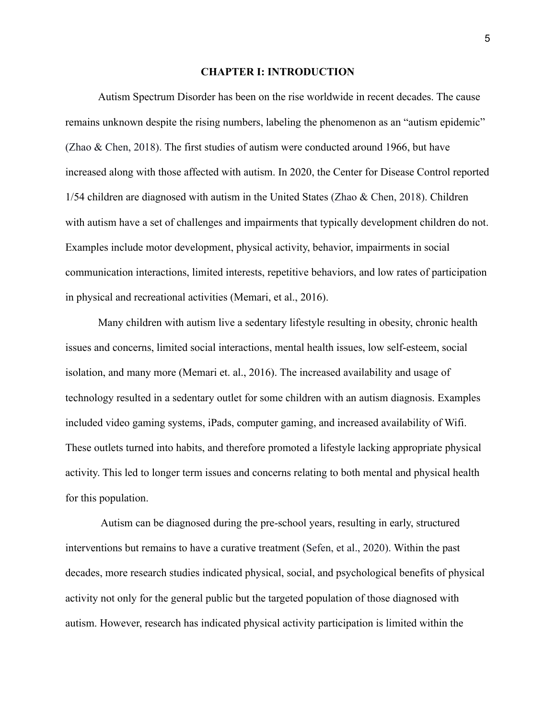#### **CHAPTER I: INTRODUCTION**

Autism Spectrum Disorder has been on the rise worldwide in recent decades. The cause remains unknown despite the rising numbers, labeling the phenomenon as an "autism epidemic" (Zhao & Chen, 2018). The first studies of autism were conducted around 1966, but have increased along with those affected with autism. In 2020, the Center for Disease Control reported 1/54 children are diagnosed with autism in the United States (Zhao & Chen, 2018). Children with autism have a set of challenges and impairments that typically development children do not. Examples include motor development, physical activity, behavior, impairments in social communication interactions, limited interests, repetitive behaviors, and low rates of participation in physical and recreational activities (Memari, et al., 2016).

Many children with autism live a sedentary lifestyle resulting in obesity, chronic health issues and concerns, limited social interactions, mental health issues, low self-esteem, social isolation, and many more (Memari et. al., 2016). The increased availability and usage of technology resulted in a sedentary outlet for some children with an autism diagnosis. Examples included video gaming systems, iPads, computer gaming, and increased availability of Wifi. These outlets turned into habits, and therefore promoted a lifestyle lacking appropriate physical activity. This led to longer term issues and concerns relating to both mental and physical health for this population.

Autism can be diagnosed during the pre-school years, resulting in early, structured interventions but remains to have a curative treatment (Sefen, et al., 2020). Within the past decades, more research studies indicated physical, social, and psychological benefits of physical activity not only for the general public but the targeted population of those diagnosed with autism. However, research has indicated physical activity participation is limited within the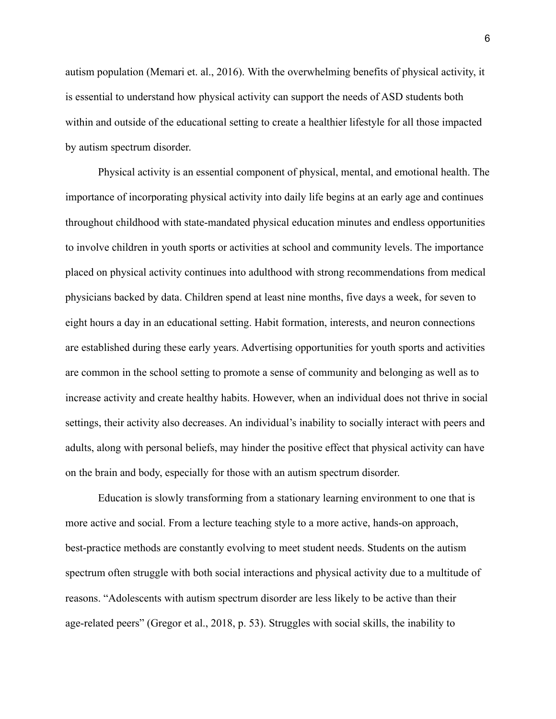autism population (Memari et. al., 2016). With the overwhelming benefits of physical activity, it is essential to understand how physical activity can support the needs of ASD students both within and outside of the educational setting to create a healthier lifestyle for all those impacted by autism spectrum disorder.

Physical activity is an essential component of physical, mental, and emotional health. The importance of incorporating physical activity into daily life begins at an early age and continues throughout childhood with state-mandated physical education minutes and endless opportunities to involve children in youth sports or activities at school and community levels. The importance placed on physical activity continues into adulthood with strong recommendations from medical physicians backed by data. Children spend at least nine months, five days a week, for seven to eight hours a day in an educational setting. Habit formation, interests, and neuron connections are established during these early years. Advertising opportunities for youth sports and activities are common in the school setting to promote a sense of community and belonging as well as to increase activity and create healthy habits. However, when an individual does not thrive in social settings, their activity also decreases. An individual's inability to socially interact with peers and adults, along with personal beliefs, may hinder the positive effect that physical activity can have on the brain and body, especially for those with an autism spectrum disorder.

Education is slowly transforming from a stationary learning environment to one that is more active and social. From a lecture teaching style to a more active, hands-on approach, best-practice methods are constantly evolving to meet student needs. Students on the autism spectrum often struggle with both social interactions and physical activity due to a multitude of reasons. "Adolescents with autism spectrum disorder are less likely to be active than their age-related peers" (Gregor et al., 2018, p. 53). Struggles with social skills, the inability to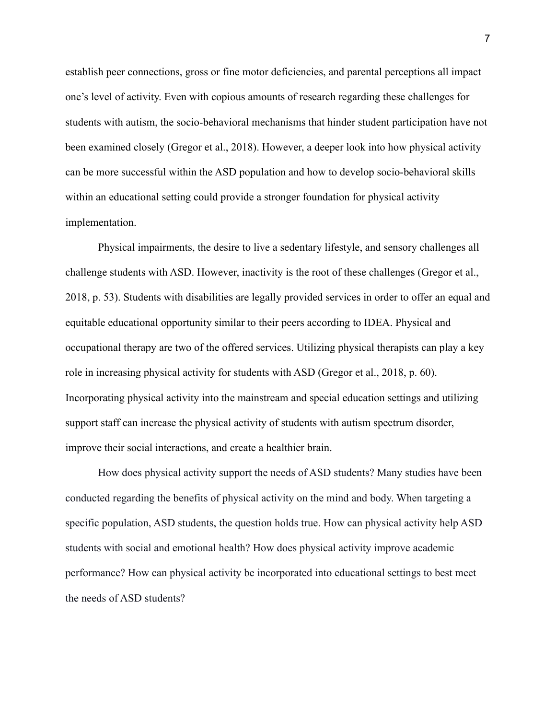establish peer connections, gross or fine motor deficiencies, and parental perceptions all impact one's level of activity. Even with copious amounts of research regarding these challenges for students with autism, the socio-behavioral mechanisms that hinder student participation have not been examined closely (Gregor et al., 2018). However, a deeper look into how physical activity can be more successful within the ASD population and how to develop socio-behavioral skills within an educational setting could provide a stronger foundation for physical activity implementation.

Physical impairments, the desire to live a sedentary lifestyle, and sensory challenges all challenge students with ASD. However, inactivity is the root of these challenges (Gregor et al., 2018, p. 53). Students with disabilities are legally provided services in order to offer an equal and equitable educational opportunity similar to their peers according to IDEA. Physical and occupational therapy are two of the offered services. Utilizing physical therapists can play a key role in increasing physical activity for students with ASD (Gregor et al., 2018, p. 60). Incorporating physical activity into the mainstream and special education settings and utilizing support staff can increase the physical activity of students with autism spectrum disorder, improve their social interactions, and create a healthier brain.

How does physical activity support the needs of ASD students? Many studies have been conducted regarding the benefits of physical activity on the mind and body. When targeting a specific population, ASD students, the question holds true. How can physical activity help ASD students with social and emotional health? How does physical activity improve academic performance? How can physical activity be incorporated into educational settings to best meet the needs of ASD students?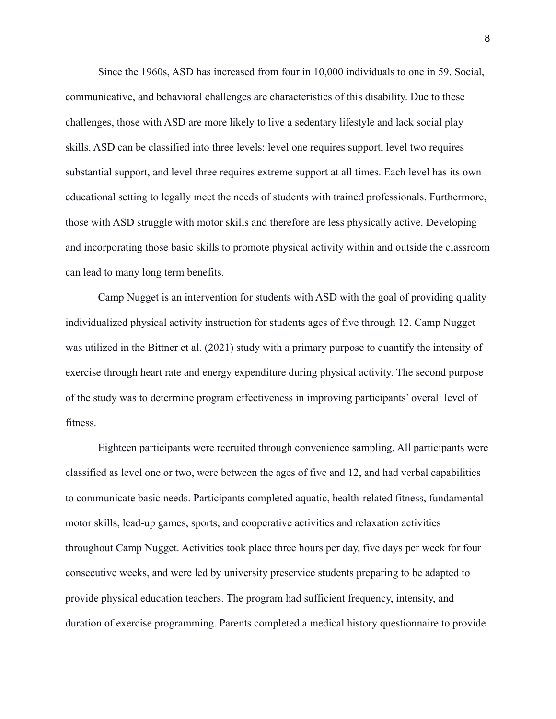Since the 1960s, ASD has increased from four in 10,000 individuals to one in 59. Social, communicative, and behavioral challenges are characteristics of this disability. Due to these challenges, those with ASD are more likely to live a sedentary lifestyle and lack social play skills. ASD can be classified into three levels: level one requires support, level two requires substantial support, and level three requires extreme support at all times. Each level has its own educational setting to legally meet the needs of students with trained professionals. Furthermore, those with ASD struggle with motor skills and therefore are less physically active. Developing and incorporating those basic skills to promote physical activity within and outside the classroom can lead to many long term benefits.

Camp Nugget is an intervention for students with ASD with the goal of providing quality individualized physical activity instruction for students ages of five through 12. Camp Nugget was utilized in the Bittner et al. (2021) study with a primary purpose to quantify the intensity of exercise through heart rate and energy expenditure during physical activity. The second purpose of the study was to determine program effectiveness in improving participants' overall level of fitness.

Eighteen participants were recruited through convenience sampling. All participants were classified as level one or two, were between the ages of five and 12, and had verbal capabilities to communicate basic needs. Participants completed aquatic, health-related fitness, fundamental motor skills, lead-up games, sports, and cooperative activities and relaxation activities throughout Camp Nugget. Activities took place three hours per day, five days per week for four consecutive weeks, and were led by university preservice students preparing to be adapted to provide physical education teachers. The program had sufficient frequency, intensity, and duration of exercise programming. Parents completed a medical history questionnaire to provide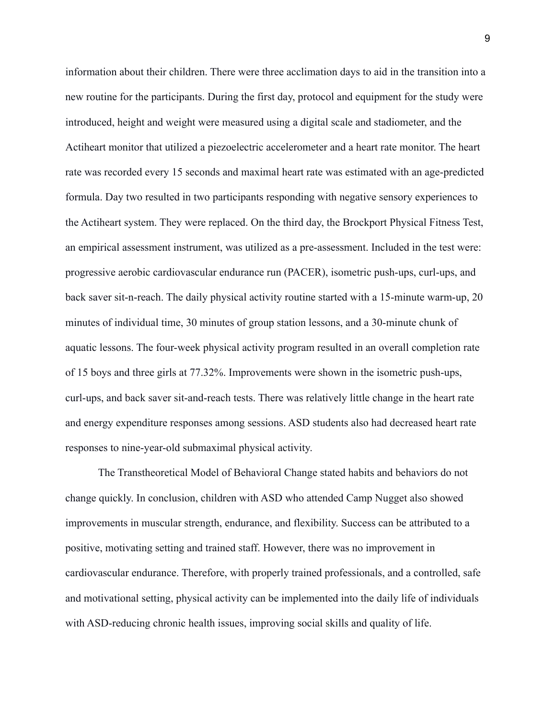information about their children. There were three acclimation days to aid in the transition into a new routine for the participants. During the first day, protocol and equipment for the study were introduced, height and weight were measured using a digital scale and stadiometer, and the Actiheart monitor that utilized a piezoelectric accelerometer and a heart rate monitor. The heart rate was recorded every 15 seconds and maximal heart rate was estimated with an age-predicted formula. Day two resulted in two participants responding with negative sensory experiences to the Actiheart system. They were replaced. On the third day, the Brockport Physical Fitness Test, an empirical assessment instrument, was utilized as a pre-assessment. Included in the test were: progressive aerobic cardiovascular endurance run (PACER), isometric push-ups, curl-ups, and back saver sit-n-reach. The daily physical activity routine started with a 15-minute warm-up, 20 minutes of individual time, 30 minutes of group station lessons, and a 30-minute chunk of aquatic lessons. The four-week physical activity program resulted in an overall completion rate of 15 boys and three girls at 77.32%. Improvements were shown in the isometric push-ups, curl-ups, and back saver sit-and-reach tests. There was relatively little change in the heart rate and energy expenditure responses among sessions. ASD students also had decreased heart rate responses to nine-year-old submaximal physical activity.

The Transtheoretical Model of Behavioral Change stated habits and behaviors do not change quickly. In conclusion, children with ASD who attended Camp Nugget also showed improvements in muscular strength, endurance, and flexibility. Success can be attributed to a positive, motivating setting and trained staff. However, there was no improvement in cardiovascular endurance. Therefore, with properly trained professionals, and a controlled, safe and motivational setting, physical activity can be implemented into the daily life of individuals with ASD-reducing chronic health issues, improving social skills and quality of life.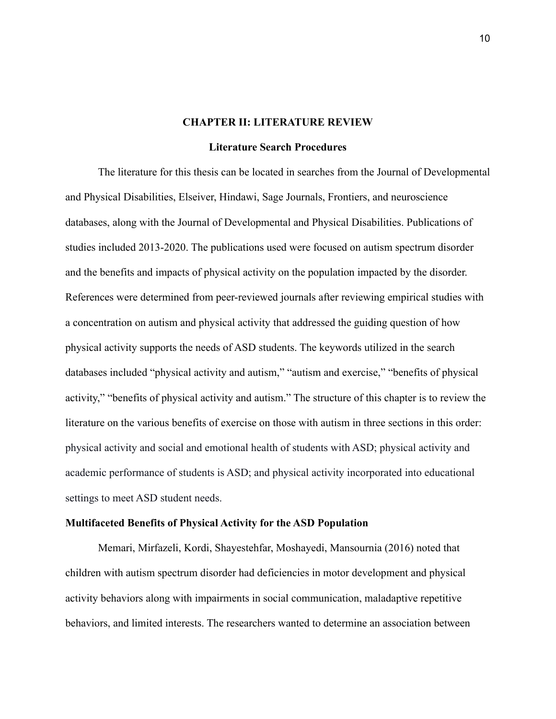### **CHAPTER II: LITERATURE REVIEW**

#### **Literature Search Procedures**

The literature for this thesis can be located in searches from the Journal of Developmental and Physical Disabilities, Elseiver, Hindawi, Sage Journals, Frontiers, and neuroscience databases, along with the Journal of Developmental and Physical Disabilities. Publications of studies included 2013-2020. The publications used were focused on autism spectrum disorder and the benefits and impacts of physical activity on the population impacted by the disorder. References were determined from peer-reviewed journals after reviewing empirical studies with a concentration on autism and physical activity that addressed the guiding question of how physical activity supports the needs of ASD students. The keywords utilized in the search databases included "physical activity and autism," "autism and exercise," "benefits of physical activity," "benefits of physical activity and autism." The structure of this chapter is to review the literature on the various benefits of exercise on those with autism in three sections in this order: physical activity and social and emotional health of students with ASD; physical activity and academic performance of students is ASD; and physical activity incorporated into educational settings to meet ASD student needs.

#### **Multifaceted Benefits of Physical Activity for the ASD Population**

Memari, Mirfazeli, Kordi, Shayestehfar, Moshayedi, Mansournia (2016) noted that children with autism spectrum disorder had deficiencies in motor development and physical activity behaviors along with impairments in social communication, maladaptive repetitive behaviors, and limited interests. The researchers wanted to determine an association between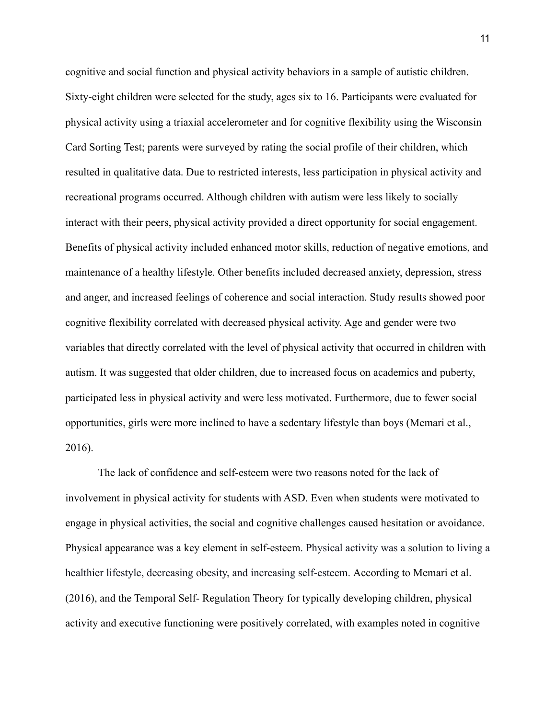cognitive and social function and physical activity behaviors in a sample of autistic children. Sixty-eight children were selected for the study, ages six to 16. Participants were evaluated for physical activity using a triaxial accelerometer and for cognitive flexibility using the Wisconsin Card Sorting Test; parents were surveyed by rating the social profile of their children, which resulted in qualitative data. Due to restricted interests, less participation in physical activity and recreational programs occurred. Although children with autism were less likely to socially interact with their peers, physical activity provided a direct opportunity for social engagement. Benefits of physical activity included enhanced motor skills, reduction of negative emotions, and maintenance of a healthy lifestyle. Other benefits included decreased anxiety, depression, stress and anger, and increased feelings of coherence and social interaction. Study results showed poor cognitive flexibility correlated with decreased physical activity. Age and gender were two variables that directly correlated with the level of physical activity that occurred in children with autism. It was suggested that older children, due to increased focus on academics and puberty, participated less in physical activity and were less motivated. Furthermore, due to fewer social opportunities, girls were more inclined to have a sedentary lifestyle than boys (Memari et al., 2016).

The lack of confidence and self-esteem were two reasons noted for the lack of involvement in physical activity for students with ASD. Even when students were motivated to engage in physical activities, the social and cognitive challenges caused hesitation or avoidance. Physical appearance was a key element in self-esteem. Physical activity was a solution to living a healthier lifestyle, decreasing obesity, and increasing self-esteem. According to Memari et al. (2016), and the Temporal Self- Regulation Theory for typically developing children, physical activity and executive functioning were positively correlated, with examples noted in cognitive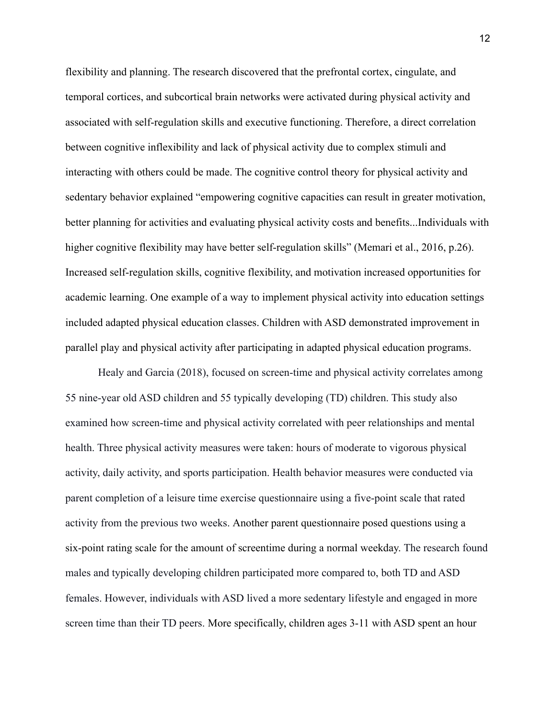flexibility and planning. The research discovered that the prefrontal cortex, cingulate, and temporal cortices, and subcortical brain networks were activated during physical activity and associated with self-regulation skills and executive functioning. Therefore, a direct correlation between cognitive inflexibility and lack of physical activity due to complex stimuli and interacting with others could be made. The cognitive control theory for physical activity and sedentary behavior explained "empowering cognitive capacities can result in greater motivation, better planning for activities and evaluating physical activity costs and benefits...Individuals with higher cognitive flexibility may have better self-regulation skills" (Memari et al., 2016, p.26). Increased self-regulation skills, cognitive flexibility, and motivation increased opportunities for academic learning. One example of a way to implement physical activity into education settings included adapted physical education classes. Children with ASD demonstrated improvement in parallel play and physical activity after participating in adapted physical education programs.

Healy and Garcia (2018), focused on screen-time and physical activity correlates among 55 nine-year old ASD children and 55 typically developing (TD) children. This study also examined how screen-time and physical activity correlated with peer relationships and mental health. Three physical activity measures were taken: hours of moderate to vigorous physical activity, daily activity, and sports participation. Health behavior measures were conducted via parent completion of a leisure time exercise questionnaire using a five-point scale that rated activity from the previous two weeks. Another parent questionnaire posed questions using a six-point rating scale for the amount of screentime during a normal weekday. The research found males and typically developing children participated more compared to, both TD and ASD females. However, individuals with ASD lived a more sedentary lifestyle and engaged in more screen time than their TD peers. More specifically, children ages 3-11 with ASD spent an hour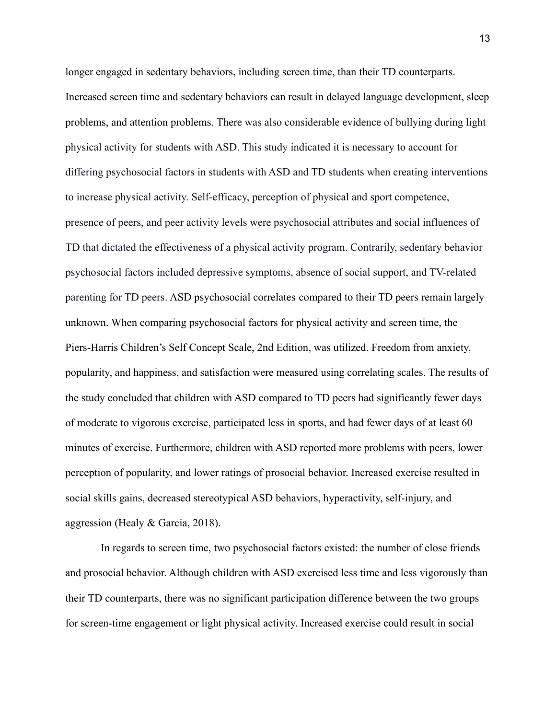longer engaged in sedentary behaviors, including screen time, than their TD counterparts. Increased screen time and sedentary behaviors can result in delayed language development, sleep problems, and attention problems. There was also considerable evidence of bullying during light physical activity for students with ASD. This study indicated it is necessary to account for differing psychosocial factors in students with ASD and TD students when creating interventions to increase physical activity. Self-efficacy, perception of physical and sport competence, presence of peers, and peer activity levels were psychosocial attributes and social influences of TD that dictated the effectiveness of a physical activity program. Contrarily, sedentary behavior psychosocial factors included depressive symptoms, absence of social support, and TV-related parenting for TD peers. ASD psychosocial correlates compared to their TD peers remain largely unknown. When comparing psychosocial factors for physical activity and screen time, the Piers-Harris Children's Self Concept Scale, 2nd Edition, was utilized. Freedom from anxiety, popularity, and happiness, and satisfaction were measured using correlating scales. The results of the study concluded that children with ASD compared to TD peers had significantly fewer days of moderate to vigorous exercise, participated less in sports, and had fewer days of at least 60 minutes of exercise. Furthermore, children with ASD reported more problems with peers, lower perception of popularity, and lower ratings of prosocial behavior. Increased exercise resulted in social skills gains, decreased stereotypical ASD behaviors, hyperactivity, self-injury, and aggression (Healy & Garcia, 2018).

In regards to screen time, two psychosocial factors existed: the number of close friends and prosocial behavior. Although children with ASD exercised less time and less vigorously than their TD counterparts, there was no significant participation difference between the two groups for screen-time engagement or light physical activity. Increased exercise could result in social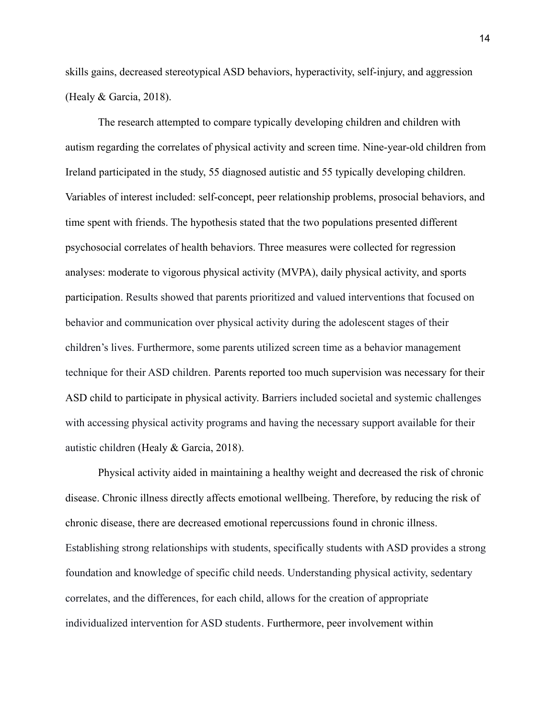skills gains, decreased stereotypical ASD behaviors, hyperactivity, self-injury, and aggression (Healy & Garcia, 2018).

The research attempted to compare typically developing children and children with autism regarding the correlates of physical activity and screen time. Nine-year-old children from Ireland participated in the study, 55 diagnosed autistic and 55 typically developing children. Variables of interest included: self-concept, peer relationship problems, prosocial behaviors, and time spent with friends. The hypothesis stated that the two populations presented different psychosocial correlates of health behaviors. Three measures were collected for regression analyses: moderate to vigorous physical activity (MVPA), daily physical activity, and sports participation. Results showed that parents prioritized and valued interventions that focused on behavior and communication over physical activity during the adolescent stages of their children's lives. Furthermore, some parents utilized screen time as a behavior management technique for their ASD children. Parents reported too much supervision was necessary for their ASD child to participate in physical activity. Barriers included societal and systemic challenges with accessing physical activity programs and having the necessary support available for their autistic children (Healy & Garcia, 2018).

Physical activity aided in maintaining a healthy weight and decreased the risk of chronic disease. Chronic illness directly affects emotional wellbeing. Therefore, by reducing the risk of chronic disease, there are decreased emotional repercussions found in chronic illness. Establishing strong relationships with students, specifically students with ASD provides a strong foundation and knowledge of specific child needs. Understanding physical activity, sedentary correlates, and the differences, for each child, allows for the creation of appropriate individualized intervention for ASD students. Furthermore, peer involvement within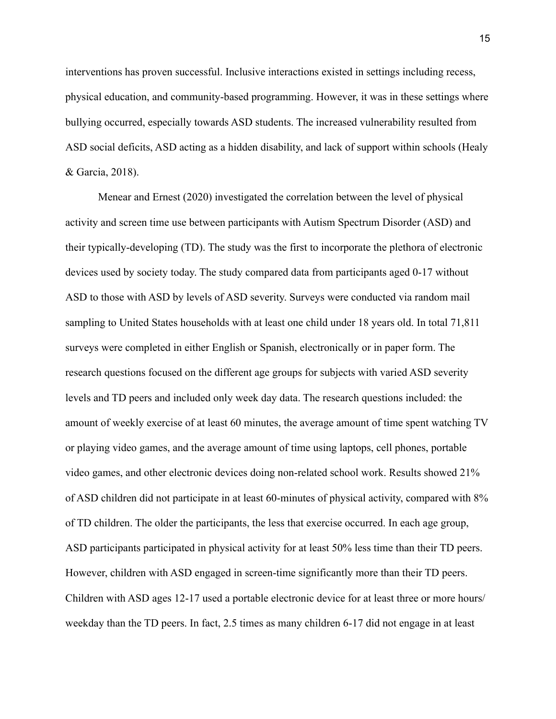interventions has proven successful. Inclusive interactions existed in settings including recess, physical education, and community-based programming. However, it was in these settings where bullying occurred, especially towards ASD students. The increased vulnerability resulted from ASD social deficits, ASD acting as a hidden disability, and lack of support within schools (Healy & Garcia, 2018).

Menear and Ernest (2020) investigated the correlation between the level of physical activity and screen time use between participants with Autism Spectrum Disorder (ASD) and their typically-developing (TD). The study was the first to incorporate the plethora of electronic devices used by society today. The study compared data from participants aged 0-17 without ASD to those with ASD by levels of ASD severity. Surveys were conducted via random mail sampling to United States households with at least one child under 18 years old. In total 71,811 surveys were completed in either English or Spanish, electronically or in paper form. The research questions focused on the different age groups for subjects with varied ASD severity levels and TD peers and included only week day data. The research questions included: the amount of weekly exercise of at least 60 minutes, the average amount of time spent watching TV or playing video games, and the average amount of time using laptops, cell phones, portable video games, and other electronic devices doing non-related school work. Results showed 21% of ASD children did not participate in at least 60-minutes of physical activity, compared with 8% of TD children. The older the participants, the less that exercise occurred. In each age group, ASD participants participated in physical activity for at least 50% less time than their TD peers. However, children with ASD engaged in screen-time significantly more than their TD peers. Children with ASD ages 12-17 used a portable electronic device for at least three or more hours/ weekday than the TD peers. In fact, 2.5 times as many children 6-17 did not engage in at least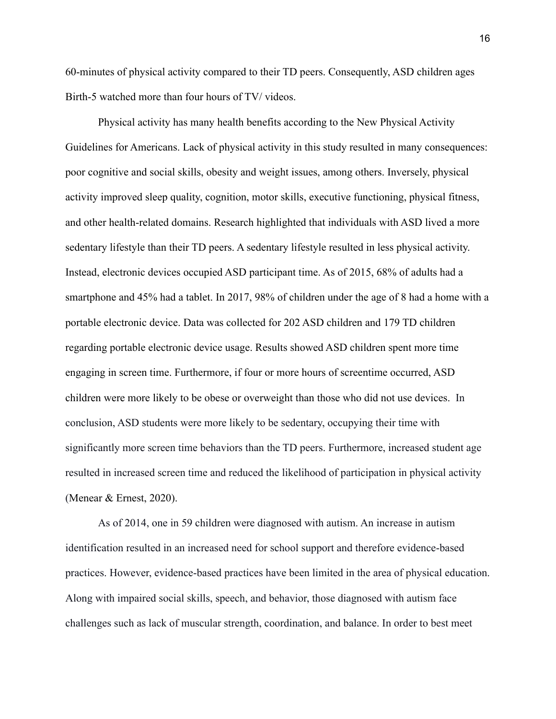60-minutes of physical activity compared to their TD peers. Consequently, ASD children ages Birth-5 watched more than four hours of TV/ videos.

Physical activity has many health benefits according to the New Physical Activity Guidelines for Americans. Lack of physical activity in this study resulted in many consequences: poor cognitive and social skills, obesity and weight issues, among others. Inversely, physical activity improved sleep quality, cognition, motor skills, executive functioning, physical fitness, and other health-related domains. Research highlighted that individuals with ASD lived a more sedentary lifestyle than their TD peers. A sedentary lifestyle resulted in less physical activity. Instead, electronic devices occupied ASD participant time. As of 2015, 68% of adults had a smartphone and 45% had a tablet. In 2017, 98% of children under the age of 8 had a home with a portable electronic device. Data was collected for 202 ASD children and 179 TD children regarding portable electronic device usage. Results showed ASD children spent more time engaging in screen time. Furthermore, if four or more hours of screentime occurred, ASD children were more likely to be obese or overweight than those who did not use devices. In conclusion, ASD students were more likely to be sedentary, occupying their time with significantly more screen time behaviors than the TD peers. Furthermore, increased student age resulted in increased screen time and reduced the likelihood of participation in physical activity (Menear & Ernest, 2020).

As of 2014, one in 59 children were diagnosed with autism. An increase in autism identification resulted in an increased need for school support and therefore evidence-based practices. However, evidence-based practices have been limited in the area of physical education. Along with impaired social skills, speech, and behavior, those diagnosed with autism face challenges such as lack of muscular strength, coordination, and balance. In order to best meet

16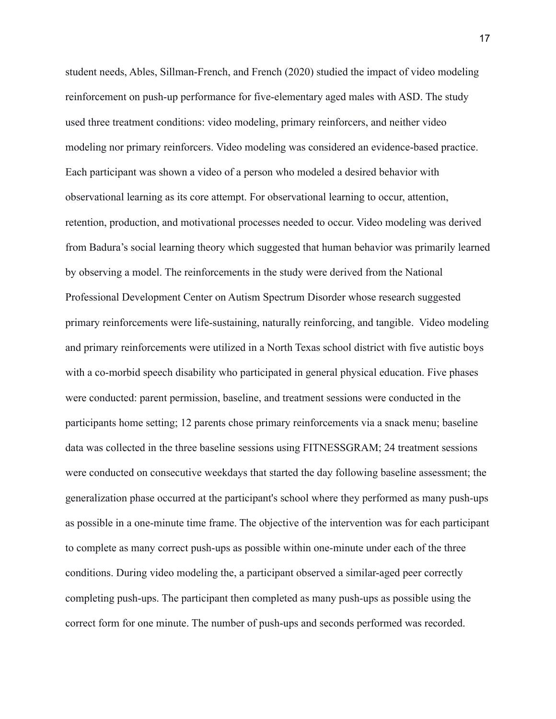student needs, Ables, Sillman-French, and French (2020) studied the impact of video modeling reinforcement on push-up performance for five-elementary aged males with ASD. The study used three treatment conditions: video modeling, primary reinforcers, and neither video modeling nor primary reinforcers. Video modeling was considered an evidence-based practice. Each participant was shown a video of a person who modeled a desired behavior with observational learning as its core attempt. For observational learning to occur, attention, retention, production, and motivational processes needed to occur. Video modeling was derived from Badura's social learning theory which suggested that human behavior was primarily learned by observing a model. The reinforcements in the study were derived from the National Professional Development Center on Autism Spectrum Disorder whose research suggested primary reinforcements were life-sustaining, naturally reinforcing, and tangible. Video modeling and primary reinforcements were utilized in a North Texas school district with five autistic boys with a co-morbid speech disability who participated in general physical education. Five phases were conducted: parent permission, baseline, and treatment sessions were conducted in the participants home setting; 12 parents chose primary reinforcements via a snack menu; baseline data was collected in the three baseline sessions using FITNESSGRAM; 24 treatment sessions were conducted on consecutive weekdays that started the day following baseline assessment; the generalization phase occurred at the participant's school where they performed as many push-ups as possible in a one-minute time frame. The objective of the intervention was for each participant to complete as many correct push-ups as possible within one-minute under each of the three conditions. During video modeling the, a participant observed a similar-aged peer correctly completing push-ups. The participant then completed as many push-ups as possible using the correct form for one minute. The number of push-ups and seconds performed was recorded.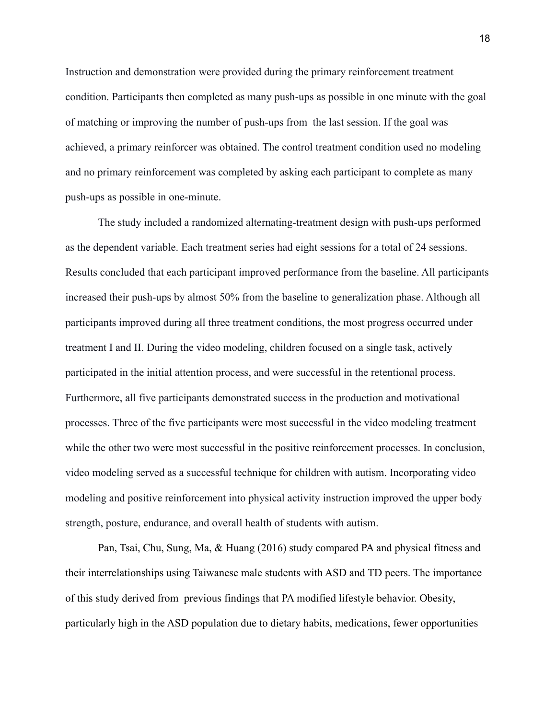Instruction and demonstration were provided during the primary reinforcement treatment condition. Participants then completed as many push-ups as possible in one minute with the goal of matching or improving the number of push-ups from the last session. If the goal was achieved, a primary reinforcer was obtained. The control treatment condition used no modeling and no primary reinforcement was completed by asking each participant to complete as many push-ups as possible in one-minute.

The study included a randomized alternating-treatment design with push-ups performed as the dependent variable. Each treatment series had eight sessions for a total of 24 sessions. Results concluded that each participant improved performance from the baseline. All participants increased their push-ups by almost 50% from the baseline to generalization phase. Although all participants improved during all three treatment conditions, the most progress occurred under treatment I and II. During the video modeling, children focused on a single task, actively participated in the initial attention process, and were successful in the retentional process. Furthermore, all five participants demonstrated success in the production and motivational processes. Three of the five participants were most successful in the video modeling treatment while the other two were most successful in the positive reinforcement processes. In conclusion, video modeling served as a successful technique for children with autism. Incorporating video modeling and positive reinforcement into physical activity instruction improved the upper body strength, posture, endurance, and overall health of students with autism.

Pan, Tsai, Chu, Sung, Ma, & Huang (2016) study compared PA and physical fitness and their interrelationships using Taiwanese male students with ASD and TD peers. The importance of this study derived from previous findings that PA modified lifestyle behavior. Obesity, particularly high in the ASD population due to dietary habits, medications, fewer opportunities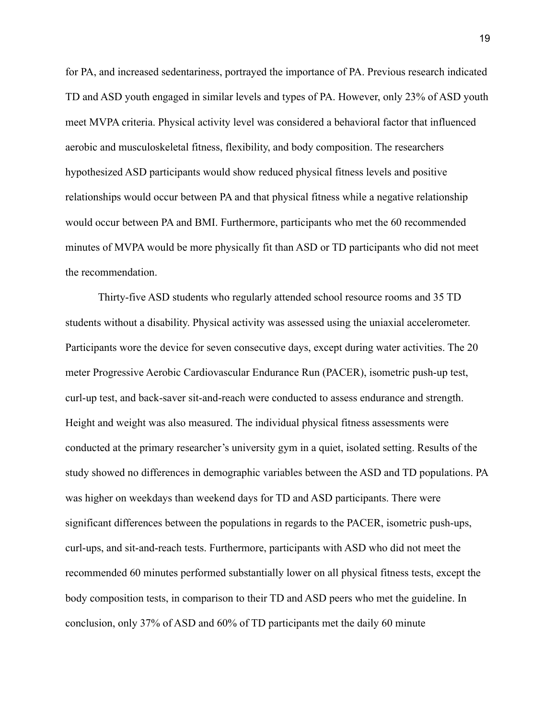for PA, and increased sedentariness, portrayed the importance of PA. Previous research indicated TD and ASD youth engaged in similar levels and types of PA. However, only 23% of ASD youth meet MVPA criteria. Physical activity level was considered a behavioral factor that influenced aerobic and musculoskeletal fitness, flexibility, and body composition. The researchers hypothesized ASD participants would show reduced physical fitness levels and positive relationships would occur between PA and that physical fitness while a negative relationship would occur between PA and BMI. Furthermore, participants who met the 60 recommended minutes of MVPA would be more physically fit than ASD or TD participants who did not meet the recommendation.

Thirty-five ASD students who regularly attended school resource rooms and 35 TD students without a disability. Physical activity was assessed using the uniaxial accelerometer. Participants wore the device for seven consecutive days, except during water activities. The 20 meter Progressive Aerobic Cardiovascular Endurance Run (PACER), isometric push-up test, curl-up test, and back-saver sit-and-reach were conducted to assess endurance and strength. Height and weight was also measured. The individual physical fitness assessments were conducted at the primary researcher's university gym in a quiet, isolated setting. Results of the study showed no differences in demographic variables between the ASD and TD populations. PA was higher on weekdays than weekend days for TD and ASD participants. There were significant differences between the populations in regards to the PACER, isometric push-ups, curl-ups, and sit-and-reach tests. Furthermore, participants with ASD who did not meet the recommended 60 minutes performed substantially lower on all physical fitness tests, except the body composition tests, in comparison to their TD and ASD peers who met the guideline. In conclusion, only 37% of ASD and 60% of TD participants met the daily 60 minute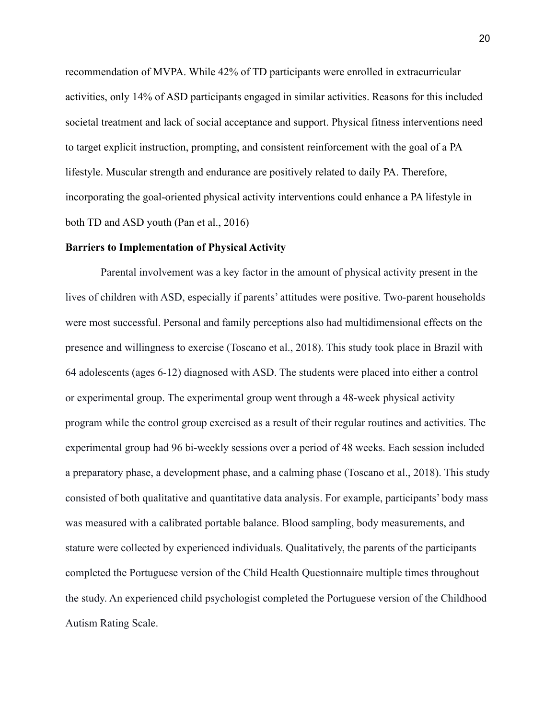recommendation of MVPA. While 42% of TD participants were enrolled in extracurricular activities, only 14% of ASD participants engaged in similar activities. Reasons for this included societal treatment and lack of social acceptance and support. Physical fitness interventions need to target explicit instruction, prompting, and consistent reinforcement with the goal of a PA lifestyle. Muscular strength and endurance are positively related to daily PA. Therefore, incorporating the goal-oriented physical activity interventions could enhance a PA lifestyle in both TD and ASD youth (Pan et al., 2016)

#### **Barriers to Implementation of Physical Activity**

Parental involvement was a key factor in the amount of physical activity present in the lives of children with ASD, especially if parents' attitudes were positive. Two-parent households were most successful. Personal and family perceptions also had multidimensional effects on the presence and willingness to exercise (Toscano et al., 2018). This study took place in Brazil with 64 adolescents (ages 6-12) diagnosed with ASD. The students were placed into either a control or experimental group. The experimental group went through a 48-week physical activity program while the control group exercised as a result of their regular routines and activities. The experimental group had 96 bi-weekly sessions over a period of 48 weeks. Each session included a preparatory phase, a development phase, and a calming phase (Toscano et al., 2018). This study consisted of both qualitative and quantitative data analysis. For example, participants' body mass was measured with a calibrated portable balance. Blood sampling, body measurements, and stature were collected by experienced individuals. Qualitatively, the parents of the participants completed the Portuguese version of the Child Health Questionnaire multiple times throughout the study. An experienced child psychologist completed the Portuguese version of the Childhood Autism Rating Scale.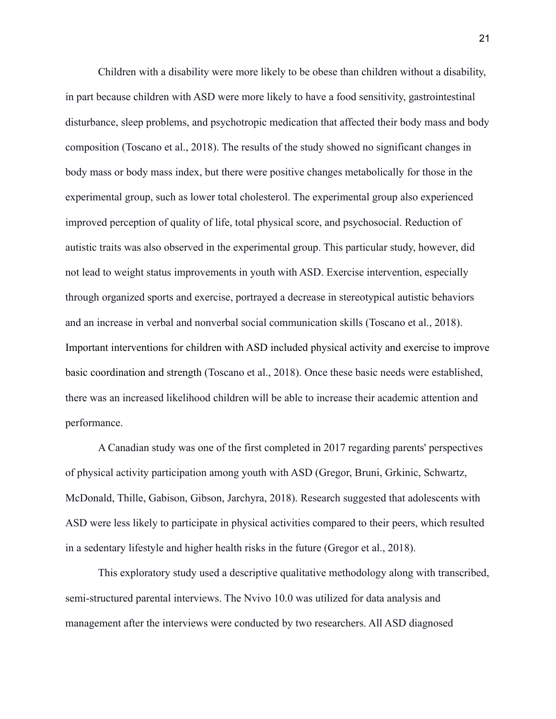Children with a disability were more likely to be obese than children without a disability, in part because children with ASD were more likely to have a food sensitivity, gastrointestinal disturbance, sleep problems, and psychotropic medication that affected their body mass and body composition (Toscano et al., 2018). The results of the study showed no significant changes in body mass or body mass index, but there were positive changes metabolically for those in the experimental group, such as lower total cholesterol. The experimental group also experienced improved perception of quality of life, total physical score, and psychosocial. Reduction of autistic traits was also observed in the experimental group. This particular study, however, did not lead to weight status improvements in youth with ASD. Exercise intervention, especially through organized sports and exercise, portrayed a decrease in stereotypical autistic behaviors and an increase in verbal and nonverbal social communication skills (Toscano et al., 2018). Important interventions for children with ASD included physical activity and exercise to improve basic coordination and strength (Toscano et al., 2018). Once these basic needs were established, there was an increased likelihood children will be able to increase their academic attention and performance.

A Canadian study was one of the first completed in 2017 regarding parents' perspectives of physical activity participation among youth with ASD (Gregor, Bruni, Grkinic, Schwartz, McDonald, Thille, Gabison, Gibson, Jarchyra, 2018). Research suggested that adolescents with ASD were less likely to participate in physical activities compared to their peers, which resulted in a sedentary lifestyle and higher health risks in the future (Gregor et al., 2018).

This exploratory study used a descriptive qualitative methodology along with transcribed, semi-structured parental interviews. The Nvivo 10.0 was utilized for data analysis and management after the interviews were conducted by two researchers. All ASD diagnosed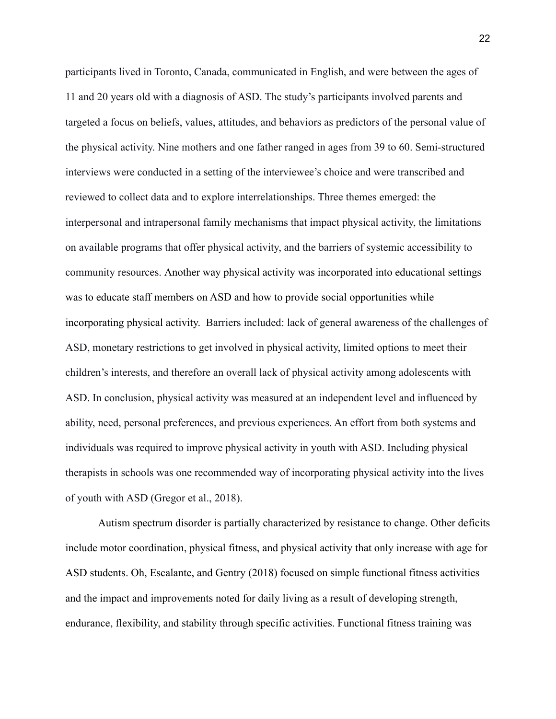participants lived in Toronto, Canada, communicated in English, and were between the ages of 11 and 20 years old with a diagnosis of ASD. The study's participants involved parents and targeted a focus on beliefs, values, attitudes, and behaviors as predictors of the personal value of the physical activity. Nine mothers and one father ranged in ages from 39 to 60. Semi-structured interviews were conducted in a setting of the interviewee's choice and were transcribed and reviewed to collect data and to explore interrelationships. Three themes emerged: the interpersonal and intrapersonal family mechanisms that impact physical activity, the limitations on available programs that offer physical activity, and the barriers of systemic accessibility to community resources. Another way physical activity was incorporated into educational settings was to educate staff members on ASD and how to provide social opportunities while incorporating physical activity. Barriers included: lack of general awareness of the challenges of ASD, monetary restrictions to get involved in physical activity, limited options to meet their children's interests, and therefore an overall lack of physical activity among adolescents with ASD. In conclusion, physical activity was measured at an independent level and influenced by ability, need, personal preferences, and previous experiences. An effort from both systems and individuals was required to improve physical activity in youth with ASD. Including physical therapists in schools was one recommended way of incorporating physical activity into the lives of youth with ASD (Gregor et al., 2018).

Autism spectrum disorder is partially characterized by resistance to change. Other deficits include motor coordination, physical fitness, and physical activity that only increase with age for ASD students. Oh, Escalante, and Gentry (2018) focused on simple functional fitness activities and the impact and improvements noted for daily living as a result of developing strength, endurance, flexibility, and stability through specific activities. Functional fitness training was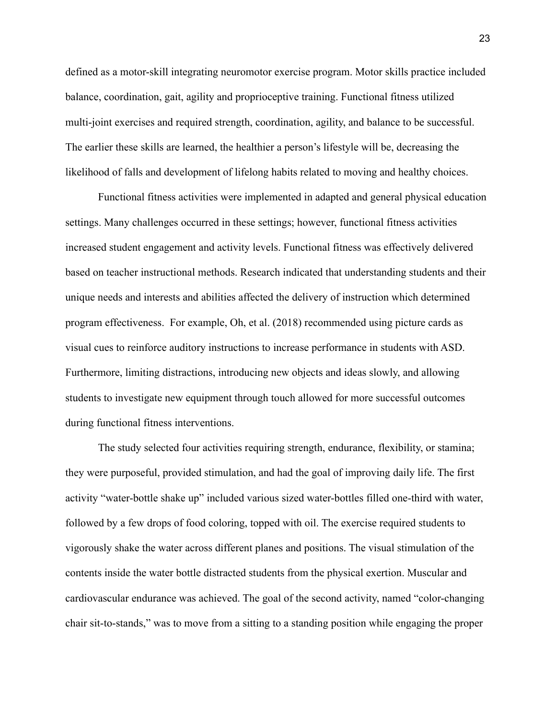defined as a motor-skill integrating neuromotor exercise program. Motor skills practice included balance, coordination, gait, agility and proprioceptive training. Functional fitness utilized multi-joint exercises and required strength, coordination, agility, and balance to be successful. The earlier these skills are learned, the healthier a person's lifestyle will be, decreasing the likelihood of falls and development of lifelong habits related to moving and healthy choices.

Functional fitness activities were implemented in adapted and general physical education settings. Many challenges occurred in these settings; however, functional fitness activities increased student engagement and activity levels. Functional fitness was effectively delivered based on teacher instructional methods. Research indicated that understanding students and their unique needs and interests and abilities affected the delivery of instruction which determined program effectiveness. For example, Oh, et al. (2018) recommended using picture cards as visual cues to reinforce auditory instructions to increase performance in students with ASD. Furthermore, limiting distractions, introducing new objects and ideas slowly, and allowing students to investigate new equipment through touch allowed for more successful outcomes during functional fitness interventions.

The study selected four activities requiring strength, endurance, flexibility, or stamina; they were purposeful, provided stimulation, and had the goal of improving daily life. The first activity "water-bottle shake up" included various sized water-bottles filled one-third with water, followed by a few drops of food coloring, topped with oil. The exercise required students to vigorously shake the water across different planes and positions. The visual stimulation of the contents inside the water bottle distracted students from the physical exertion. Muscular and cardiovascular endurance was achieved. The goal of the second activity, named "color-changing chair sit-to-stands," was to move from a sitting to a standing position while engaging the proper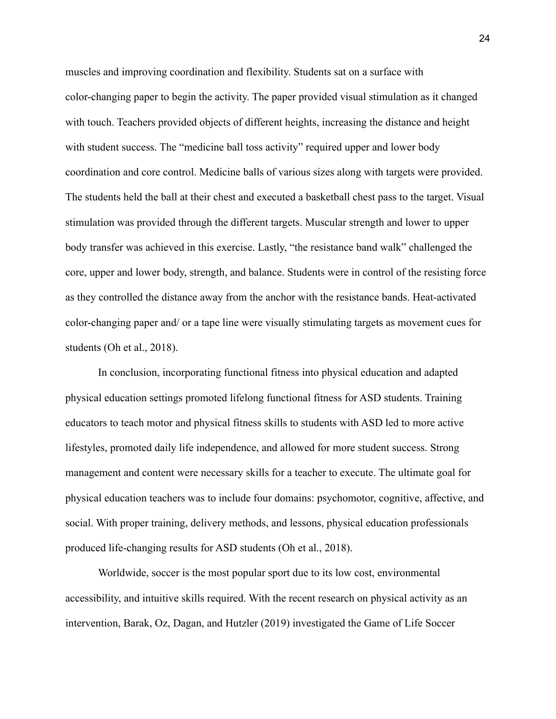muscles and improving coordination and flexibility. Students sat on a surface with color-changing paper to begin the activity. The paper provided visual stimulation as it changed with touch. Teachers provided objects of different heights, increasing the distance and height with student success. The "medicine ball toss activity" required upper and lower body coordination and core control. Medicine balls of various sizes along with targets were provided. The students held the ball at their chest and executed a basketball chest pass to the target. Visual stimulation was provided through the different targets. Muscular strength and lower to upper body transfer was achieved in this exercise. Lastly, "the resistance band walk" challenged the core, upper and lower body, strength, and balance. Students were in control of the resisting force as they controlled the distance away from the anchor with the resistance bands. Heat-activated color-changing paper and/ or a tape line were visually stimulating targets as movement cues for students (Oh et al., 2018).

In conclusion, incorporating functional fitness into physical education and adapted physical education settings promoted lifelong functional fitness for ASD students. Training educators to teach motor and physical fitness skills to students with ASD led to more active lifestyles, promoted daily life independence, and allowed for more student success. Strong management and content were necessary skills for a teacher to execute. The ultimate goal for physical education teachers was to include four domains: psychomotor, cognitive, affective, and social. With proper training, delivery methods, and lessons, physical education professionals produced life-changing results for ASD students (Oh et al., 2018).

Worldwide, soccer is the most popular sport due to its low cost, environmental accessibility, and intuitive skills required. With the recent research on physical activity as an intervention, Barak, Oz, Dagan, and Hutzler (2019) investigated the Game of Life Soccer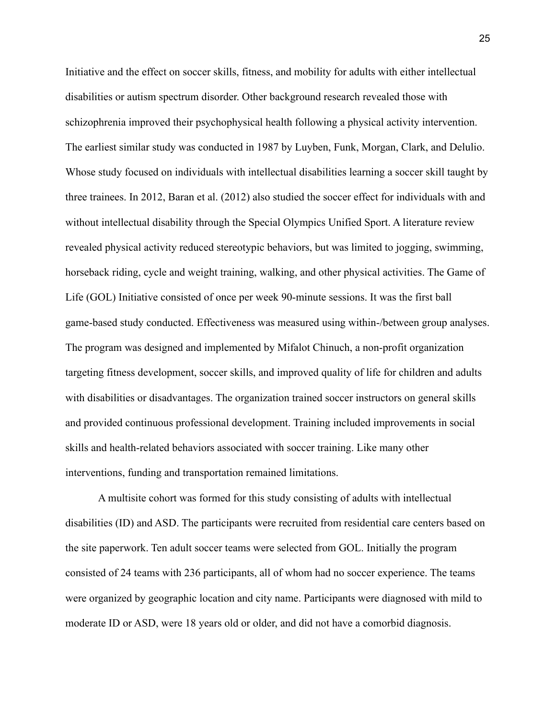Initiative and the effect on soccer skills, fitness, and mobility for adults with either intellectual disabilities or autism spectrum disorder. Other background research revealed those with schizophrenia improved their psychophysical health following a physical activity intervention. The earliest similar study was conducted in 1987 by Luyben, Funk, Morgan, Clark, and Delulio. Whose study focused on individuals with intellectual disabilities learning a soccer skill taught by three trainees. In 2012, Baran et al. (2012) also studied the soccer effect for individuals with and without intellectual disability through the Special Olympics Unified Sport. A literature review revealed physical activity reduced stereotypic behaviors, but was limited to jogging, swimming, horseback riding, cycle and weight training, walking, and other physical activities. The Game of Life (GOL) Initiative consisted of once per week 90-minute sessions. It was the first ball game-based study conducted. Effectiveness was measured using within-/between group analyses. The program was designed and implemented by Mifalot Chinuch, a non-profit organization targeting fitness development, soccer skills, and improved quality of life for children and adults with disabilities or disadvantages. The organization trained soccer instructors on general skills and provided continuous professional development. Training included improvements in social skills and health-related behaviors associated with soccer training. Like many other interventions, funding and transportation remained limitations.

A multisite cohort was formed for this study consisting of adults with intellectual disabilities (ID) and ASD. The participants were recruited from residential care centers based on the site paperwork. Ten adult soccer teams were selected from GOL. Initially the program consisted of 24 teams with 236 participants, all of whom had no soccer experience. The teams were organized by geographic location and city name. Participants were diagnosed with mild to moderate ID or ASD, were 18 years old or older, and did not have a comorbid diagnosis.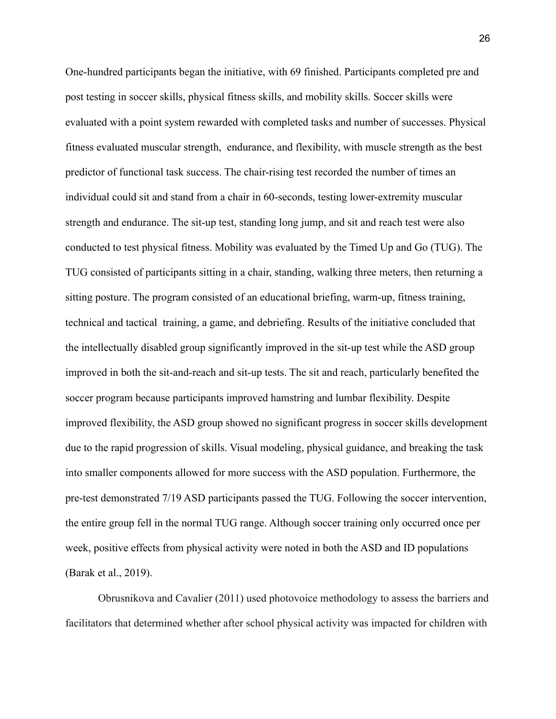One-hundred participants began the initiative, with 69 finished. Participants completed pre and post testing in soccer skills, physical fitness skills, and mobility skills. Soccer skills were evaluated with a point system rewarded with completed tasks and number of successes. Physical fitness evaluated muscular strength, endurance, and flexibility, with muscle strength as the best predictor of functional task success. The chair-rising test recorded the number of times an individual could sit and stand from a chair in 60-seconds, testing lower-extremity muscular strength and endurance. The sit-up test, standing long jump, and sit and reach test were also conducted to test physical fitness. Mobility was evaluated by the Timed Up and Go (TUG). The TUG consisted of participants sitting in a chair, standing, walking three meters, then returning a sitting posture. The program consisted of an educational briefing, warm-up, fitness training, technical and tactical training, a game, and debriefing. Results of the initiative concluded that the intellectually disabled group significantly improved in the sit-up test while the ASD group improved in both the sit-and-reach and sit-up tests. The sit and reach, particularly benefited the soccer program because participants improved hamstring and lumbar flexibility. Despite improved flexibility, the ASD group showed no significant progress in soccer skills development due to the rapid progression of skills. Visual modeling, physical guidance, and breaking the task into smaller components allowed for more success with the ASD population. Furthermore, the pre-test demonstrated 7/19 ASD participants passed the TUG. Following the soccer intervention, the entire group fell in the normal TUG range. Although soccer training only occurred once per week, positive effects from physical activity were noted in both the ASD and ID populations (Barak et al., 2019).

Obrusnikova and Cavalier (2011) used photovoice methodology to assess the barriers and facilitators that determined whether after school physical activity was impacted for children with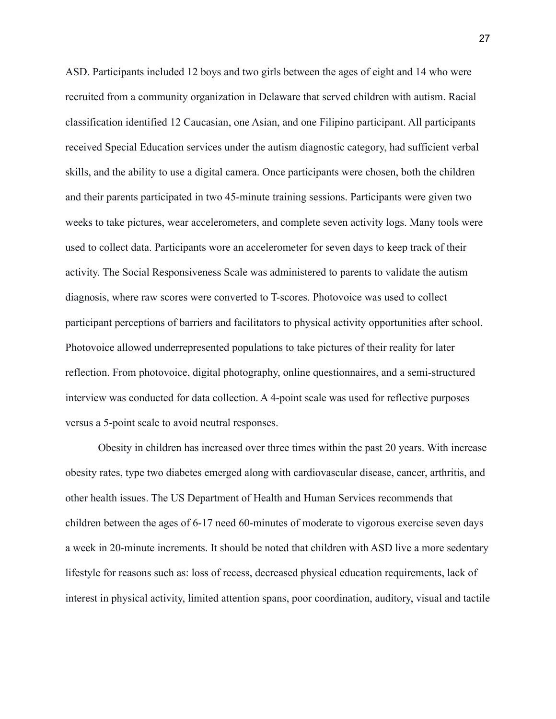ASD. Participants included 12 boys and two girls between the ages of eight and 14 who were recruited from a community organization in Delaware that served children with autism. Racial classification identified 12 Caucasian, one Asian, and one Filipino participant. All participants received Special Education services under the autism diagnostic category, had sufficient verbal skills, and the ability to use a digital camera. Once participants were chosen, both the children and their parents participated in two 45-minute training sessions. Participants were given two weeks to take pictures, wear accelerometers, and complete seven activity logs. Many tools were used to collect data. Participants wore an accelerometer for seven days to keep track of their activity. The Social Responsiveness Scale was administered to parents to validate the autism diagnosis, where raw scores were converted to T-scores. Photovoice was used to collect participant perceptions of barriers and facilitators to physical activity opportunities after school. Photovoice allowed underrepresented populations to take pictures of their reality for later reflection. From photovoice, digital photography, online questionnaires, and a semi-structured interview was conducted for data collection. A 4-point scale was used for reflective purposes versus a 5-point scale to avoid neutral responses.

Obesity in children has increased over three times within the past 20 years. With increase obesity rates, type two diabetes emerged along with cardiovascular disease, cancer, arthritis, and other health issues. The US Department of Health and Human Services recommends that children between the ages of 6-17 need 60-minutes of moderate to vigorous exercise seven days a week in 20-minute increments. It should be noted that children with ASD live a more sedentary lifestyle for reasons such as: loss of recess, decreased physical education requirements, lack of interest in physical activity, limited attention spans, poor coordination, auditory, visual and tactile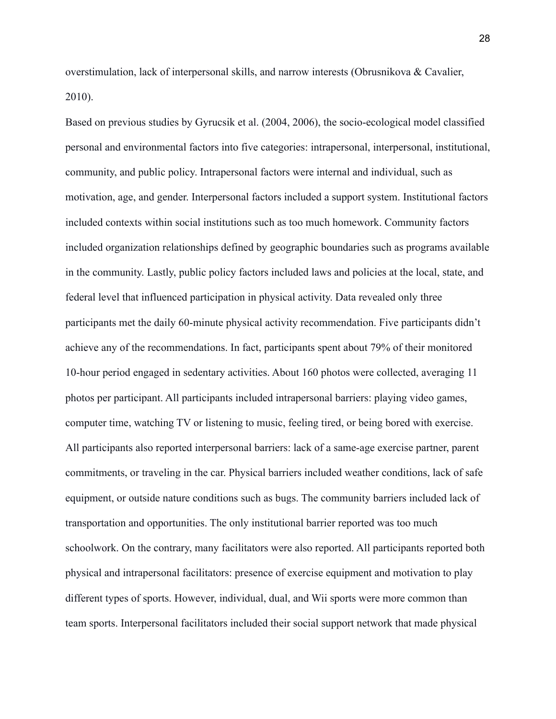overstimulation, lack of interpersonal skills, and narrow interests (Obrusnikova & Cavalier, 2010).

Based on previous studies by Gyrucsik et al. (2004, 2006), the socio-ecological model classified personal and environmental factors into five categories: intrapersonal, interpersonal, institutional, community, and public policy. Intrapersonal factors were internal and individual, such as motivation, age, and gender. Interpersonal factors included a support system. Institutional factors included contexts within social institutions such as too much homework. Community factors included organization relationships defined by geographic boundaries such as programs available in the community. Lastly, public policy factors included laws and policies at the local, state, and federal level that influenced participation in physical activity. Data revealed only three participants met the daily 60-minute physical activity recommendation. Five participants didn't achieve any of the recommendations. In fact, participants spent about 79% of their monitored 10-hour period engaged in sedentary activities. About 160 photos were collected, averaging 11 photos per participant. All participants included intrapersonal barriers: playing video games, computer time, watching TV or listening to music, feeling tired, or being bored with exercise. All participants also reported interpersonal barriers: lack of a same-age exercise partner, parent commitments, or traveling in the car. Physical barriers included weather conditions, lack of safe equipment, or outside nature conditions such as bugs. The community barriers included lack of transportation and opportunities. The only institutional barrier reported was too much schoolwork. On the contrary, many facilitators were also reported. All participants reported both physical and intrapersonal facilitators: presence of exercise equipment and motivation to play different types of sports. However, individual, dual, and Wii sports were more common than team sports. Interpersonal facilitators included their social support network that made physical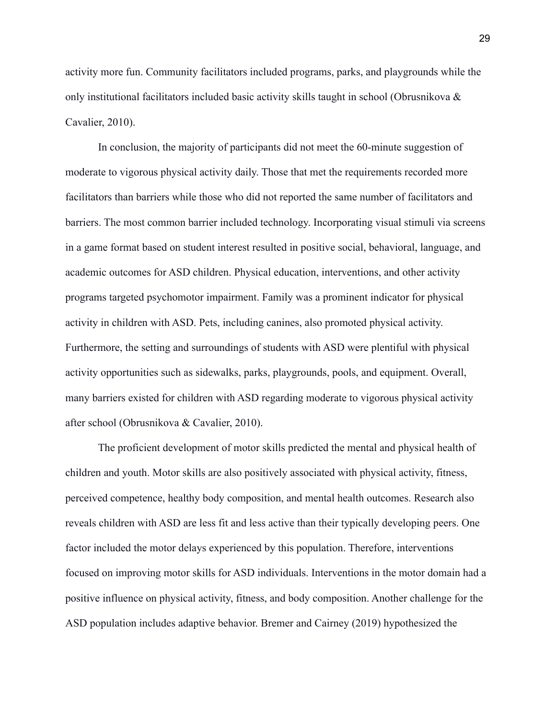activity more fun. Community facilitators included programs, parks, and playgrounds while the only institutional facilitators included basic activity skills taught in school (Obrusnikova  $\&$ Cavalier, 2010).

In conclusion, the majority of participants did not meet the 60-minute suggestion of moderate to vigorous physical activity daily. Those that met the requirements recorded more facilitators than barriers while those who did not reported the same number of facilitators and barriers. The most common barrier included technology. Incorporating visual stimuli via screens in a game format based on student interest resulted in positive social, behavioral, language, and academic outcomes for ASD children. Physical education, interventions, and other activity programs targeted psychomotor impairment. Family was a prominent indicator for physical activity in children with ASD. Pets, including canines, also promoted physical activity. Furthermore, the setting and surroundings of students with ASD were plentiful with physical activity opportunities such as sidewalks, parks, playgrounds, pools, and equipment. Overall, many barriers existed for children with ASD regarding moderate to vigorous physical activity after school (Obrusnikova & Cavalier, 2010).

The proficient development of motor skills predicted the mental and physical health of children and youth. Motor skills are also positively associated with physical activity, fitness, perceived competence, healthy body composition, and mental health outcomes. Research also reveals children with ASD are less fit and less active than their typically developing peers. One factor included the motor delays experienced by this population. Therefore, interventions focused on improving motor skills for ASD individuals. Interventions in the motor domain had a positive influence on physical activity, fitness, and body composition. Another challenge for the ASD population includes adaptive behavior. Bremer and Cairney (2019) hypothesized the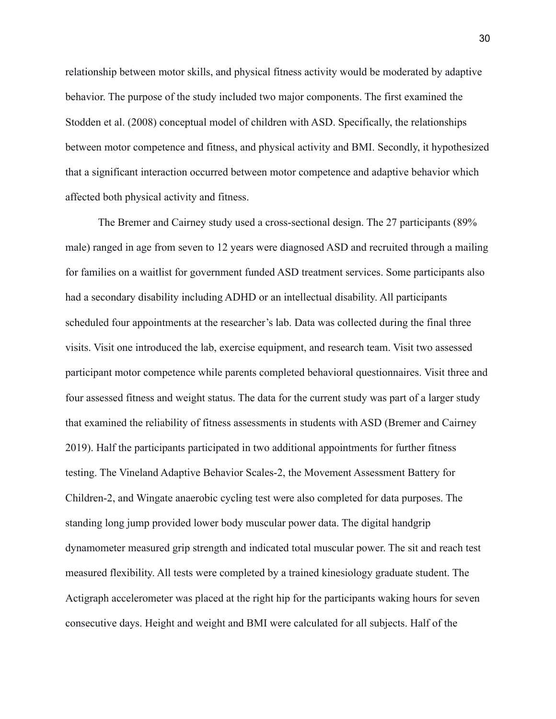relationship between motor skills, and physical fitness activity would be moderated by adaptive behavior. The purpose of the study included two major components. The first examined the Stodden et al. (2008) conceptual model of children with ASD. Specifically, the relationships between motor competence and fitness, and physical activity and BMI. Secondly, it hypothesized that a significant interaction occurred between motor competence and adaptive behavior which affected both physical activity and fitness.

The Bremer and Cairney study used a cross-sectional design. The 27 participants (89% male) ranged in age from seven to 12 years were diagnosed ASD and recruited through a mailing for families on a waitlist for government funded ASD treatment services. Some participants also had a secondary disability including ADHD or an intellectual disability. All participants scheduled four appointments at the researcher's lab. Data was collected during the final three visits. Visit one introduced the lab, exercise equipment, and research team. Visit two assessed participant motor competence while parents completed behavioral questionnaires. Visit three and four assessed fitness and weight status. The data for the current study was part of a larger study that examined the reliability of fitness assessments in students with ASD (Bremer and Cairney 2019). Half the participants participated in two additional appointments for further fitness testing. The Vineland Adaptive Behavior Scales-2, the Movement Assessment Battery for Children-2, and Wingate anaerobic cycling test were also completed for data purposes. The standing long jump provided lower body muscular power data. The digital handgrip dynamometer measured grip strength and indicated total muscular power. The sit and reach test measured flexibility. All tests were completed by a trained kinesiology graduate student. The Actigraph accelerometer was placed at the right hip for the participants waking hours for seven consecutive days. Height and weight and BMI were calculated for all subjects. Half of the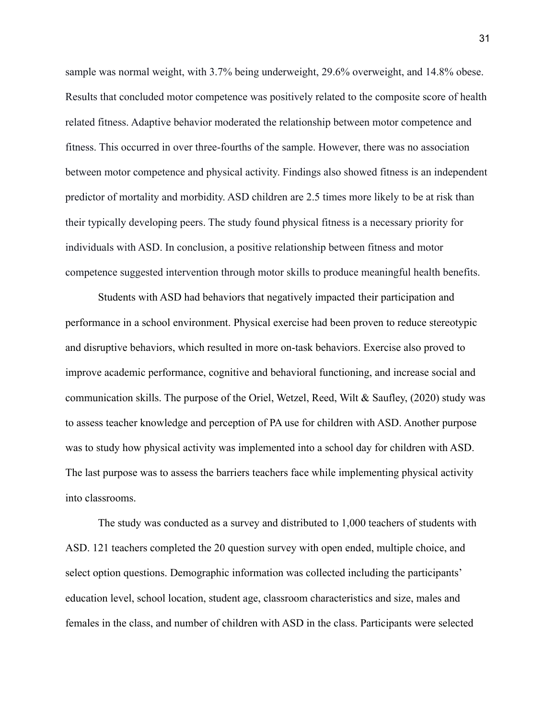sample was normal weight, with 3.7% being underweight, 29.6% overweight, and 14.8% obese. Results that concluded motor competence was positively related to the composite score of health related fitness. Adaptive behavior moderated the relationship between motor competence and fitness. This occurred in over three-fourths of the sample. However, there was no association between motor competence and physical activity. Findings also showed fitness is an independent predictor of mortality and morbidity. ASD children are 2.5 times more likely to be at risk than their typically developing peers. The study found physical fitness is a necessary priority for individuals with ASD. In conclusion, a positive relationship between fitness and motor competence suggested intervention through motor skills to produce meaningful health benefits.

Students with ASD had behaviors that negatively impacted their participation and performance in a school environment. Physical exercise had been proven to reduce stereotypic and disruptive behaviors, which resulted in more on-task behaviors. Exercise also proved to improve academic performance, cognitive and behavioral functioning, and increase social and communication skills. The purpose of the Oriel, Wetzel, Reed, Wilt & Saufley, (2020) study was to assess teacher knowledge and perception of PA use for children with ASD. Another purpose was to study how physical activity was implemented into a school day for children with ASD. The last purpose was to assess the barriers teachers face while implementing physical activity into classrooms.

The study was conducted as a survey and distributed to 1,000 teachers of students with ASD. 121 teachers completed the 20 question survey with open ended, multiple choice, and select option questions. Demographic information was collected including the participants' education level, school location, student age, classroom characteristics and size, males and females in the class, and number of children with ASD in the class. Participants were selected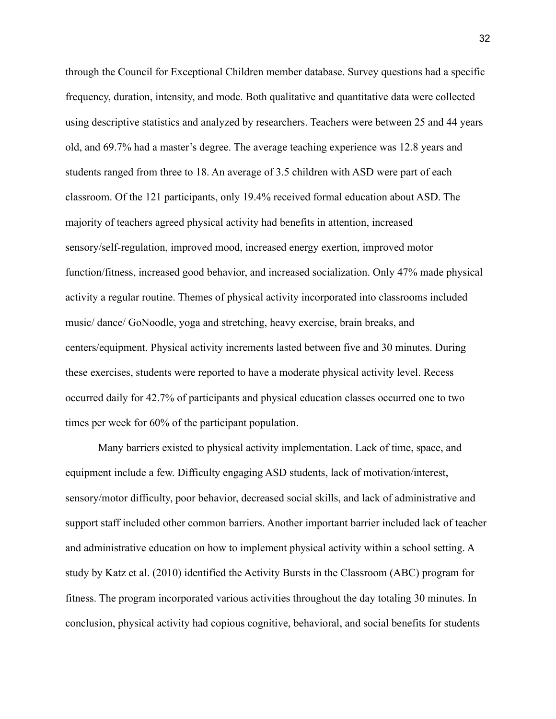through the Council for Exceptional Children member database. Survey questions had a specific frequency, duration, intensity, and mode. Both qualitative and quantitative data were collected using descriptive statistics and analyzed by researchers. Teachers were between 25 and 44 years old, and 69.7% had a master's degree. The average teaching experience was 12.8 years and students ranged from three to 18. An average of 3.5 children with ASD were part of each classroom. Of the 121 participants, only 19.4% received formal education about ASD. The majority of teachers agreed physical activity had benefits in attention, increased sensory/self-regulation, improved mood, increased energy exertion, improved motor function/fitness, increased good behavior, and increased socialization. Only 47% made physical activity a regular routine. Themes of physical activity incorporated into classrooms included music/ dance/ GoNoodle, yoga and stretching, heavy exercise, brain breaks, and centers/equipment. Physical activity increments lasted between five and 30 minutes. During these exercises, students were reported to have a moderate physical activity level. Recess occurred daily for 42.7% of participants and physical education classes occurred one to two times per week for 60% of the participant population.

Many barriers existed to physical activity implementation. Lack of time, space, and equipment include a few. Difficulty engaging ASD students, lack of motivation/interest, sensory/motor difficulty, poor behavior, decreased social skills, and lack of administrative and support staff included other common barriers. Another important barrier included lack of teacher and administrative education on how to implement physical activity within a school setting. A study by Katz et al. (2010) identified the Activity Bursts in the Classroom (ABC) program for fitness. The program incorporated various activities throughout the day totaling 30 minutes. In conclusion, physical activity had copious cognitive, behavioral, and social benefits for students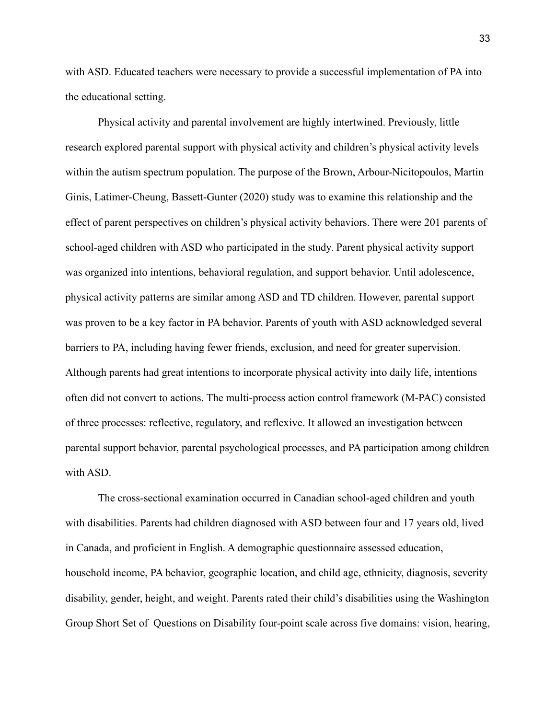with ASD. Educated teachers were necessary to provide a successful implementation of PA into the educational setting.

Physical activity and parental involvement are highly intertwined. Previously, little research explored parental support with physical activity and children's physical activity levels within the autism spectrum population. The purpose of the Brown, Arbour-Nicitopoulos, Martin Ginis, Latimer-Cheung, Bassett-Gunter (2020) study was to examine this relationship and the effect of parent perspectives on children's physical activity behaviors. There were 201 parents of school-aged children with ASD who participated in the study. Parent physical activity support was organized into intentions, behavioral regulation, and support behavior. Until adolescence, physical activity patterns are similar among ASD and TD children. However, parental support was proven to be a key factor in PA behavior. Parents of youth with ASD acknowledged several barriers to PA, including having fewer friends, exclusion, and need for greater supervision. Although parents had great intentions to incorporate physical activity into daily life, intentions often did not convert to actions. The multi-process action control framework (M-PAC) consisted of three processes: reflective, regulatory, and reflexive. It allowed an investigation between parental support behavior, parental psychological processes, and PA participation among children with ASD.

The cross-sectional examination occurred in Canadian school-aged children and youth with disabilities. Parents had children diagnosed with ASD between four and 17 years old, lived in Canada, and proficient in English. A demographic questionnaire assessed education, household income, PA behavior, geographic location, and child age, ethnicity, diagnosis, severity disability, gender, height, and weight. Parents rated their child's disabilities using the Washington Group Short Set of Questions on Disability four-point scale across five domains: vision, hearing,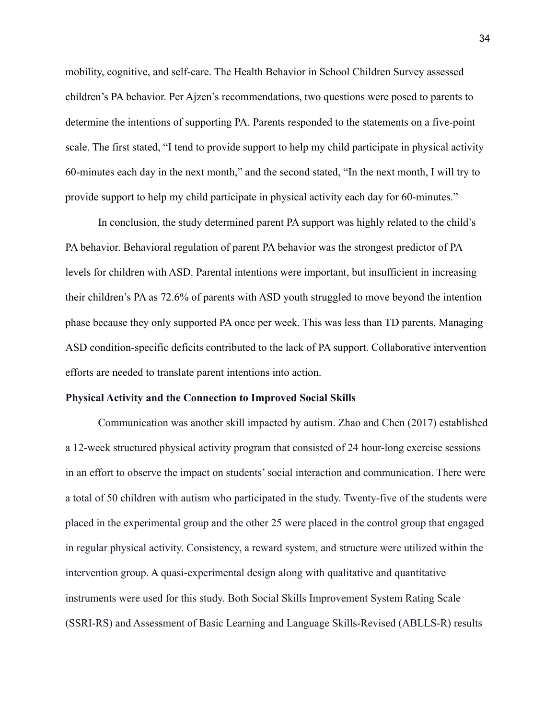mobility, cognitive, and self-care. The Health Behavior in School Children Survey assessed children's PA behavior. Per Ajzen's recommendations, two questions were posed to parents to determine the intentions of supporting PA. Parents responded to the statements on a five-point scale. The first stated, "I tend to provide support to help my child participate in physical activity 60-minutes each day in the next month," and the second stated, "In the next month, I will try to provide support to help my child participate in physical activity each day for 60-minutes."

In conclusion, the study determined parent PA support was highly related to the child's PA behavior. Behavioral regulation of parent PA behavior was the strongest predictor of PA levels for children with ASD. Parental intentions were important, but insufficient in increasing their children's PA as 72.6% of parents with ASD youth struggled to move beyond the intention phase because they only supported PA once per week. This was less than TD parents. Managing ASD condition-specific deficits contributed to the lack of PA support. Collaborative intervention efforts are needed to translate parent intentions into action.

#### **Physical Activity and the Connection to Improved Social Skills**

Communication was another skill impacted by autism. Zhao and Chen (2017) established a 12-week structured physical activity program that consisted of 24 hour-long exercise sessions in an effort to observe the impact on students' social interaction and communication. There were a total of 50 children with autism who participated in the study. Twenty-five of the students were placed in the experimental group and the other 25 were placed in the control group that engaged in regular physical activity. Consistency, a reward system, and structure were utilized within the intervention group. A quasi-experimental design along with qualitative and quantitative instruments were used for this study. Both Social Skills Improvement System Rating Scale (SSRI-RS) and Assessment of Basic Learning and Language Skills-Revised (ABLLS-R) results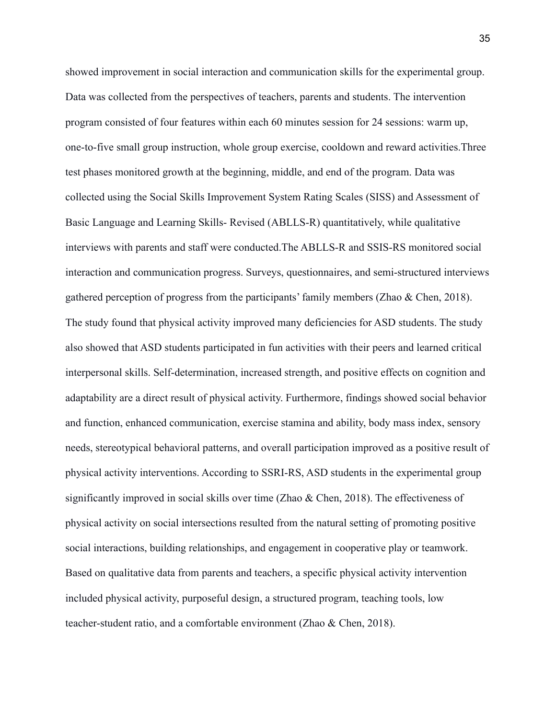showed improvement in social interaction and communication skills for the experimental group. Data was collected from the perspectives of teachers, parents and students. The intervention program consisted of four features within each 60 minutes session for 24 sessions: warm up, one-to-five small group instruction, whole group exercise, cooldown and reward activities.Three test phases monitored growth at the beginning, middle, and end of the program. Data was collected using the Social Skills Improvement System Rating Scales (SISS) and Assessment of Basic Language and Learning Skills- Revised (ABLLS-R) quantitatively, while qualitative interviews with parents and staff were conducted.The ABLLS-R and SSIS-RS monitored social interaction and communication progress. Surveys, questionnaires, and semi-structured interviews gathered perception of progress from the participants' family members (Zhao & Chen, 2018). The study found that physical activity improved many deficiencies for ASD students. The study also showed that ASD students participated in fun activities with their peers and learned critical interpersonal skills. Self-determination, increased strength, and positive effects on cognition and adaptability are a direct result of physical activity. Furthermore, findings showed social behavior and function, enhanced communication, exercise stamina and ability, body mass index, sensory needs, stereotypical behavioral patterns, and overall participation improved as a positive result of physical activity interventions. According to SSRI-RS, ASD students in the experimental group significantly improved in social skills over time (Zhao & Chen, 2018). The effectiveness of physical activity on social intersections resulted from the natural setting of promoting positive social interactions, building relationships, and engagement in cooperative play or teamwork. Based on qualitative data from parents and teachers, a specific physical activity intervention included physical activity, purposeful design, a structured program, teaching tools, low teacher-student ratio, and a comfortable environment (Zhao & Chen, 2018).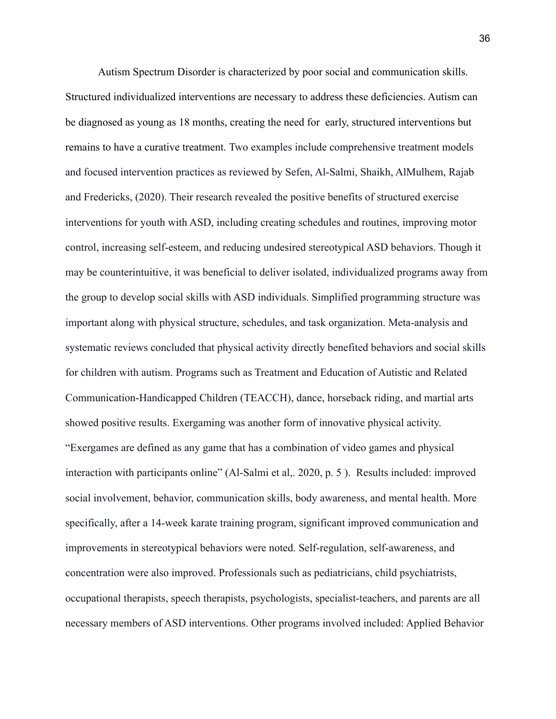Autism Spectrum Disorder is characterized by poor social and communication skills. Structured individualized interventions are necessary to address these deficiencies. Autism can be diagnosed as young as 18 months, creating the need for early, structured interventions but remains to have a curative treatment. Two examples include comprehensive treatment models and focused intervention practices as reviewed by Sefen, Al-Salmi, Shaikh, AlMulhem, Rajab and Fredericks, (2020). Their research revealed the positive benefits of structured exercise interventions for youth with ASD, including creating schedules and routines, improving motor control, increasing self-esteem, and reducing undesired stereotypical ASD behaviors. Though it may be counterintuitive, it was beneficial to deliver isolated, individualized programs away from the group to develop social skills with ASD individuals. Simplified programming structure was important along with physical structure, schedules, and task organization. Meta-analysis and systematic reviews concluded that physical activity directly benefited behaviors and social skills for children with autism. Programs such as Treatment and Education of Autistic and Related Communication-Handicapped Children (TEACCH), dance, horseback riding, and martial arts showed positive results. Exergaming was another form of innovative physical activity. "Exergames are defined as any game that has a combination of video games and physical interaction with participants online" (Al-Salmi et al,. 2020, p. 5 ). Results included: improved social involvement, behavior, communication skills, body awareness, and mental health. More specifically, after a 14-week karate training program, significant improved communication and improvements in stereotypical behaviors were noted. Self-regulation, self-awareness, and concentration were also improved. Professionals such as pediatricians, child psychiatrists, occupational therapists, speech therapists, psychologists, specialist-teachers, and parents are all necessary members of ASD interventions. Other programs involved included: Applied Behavior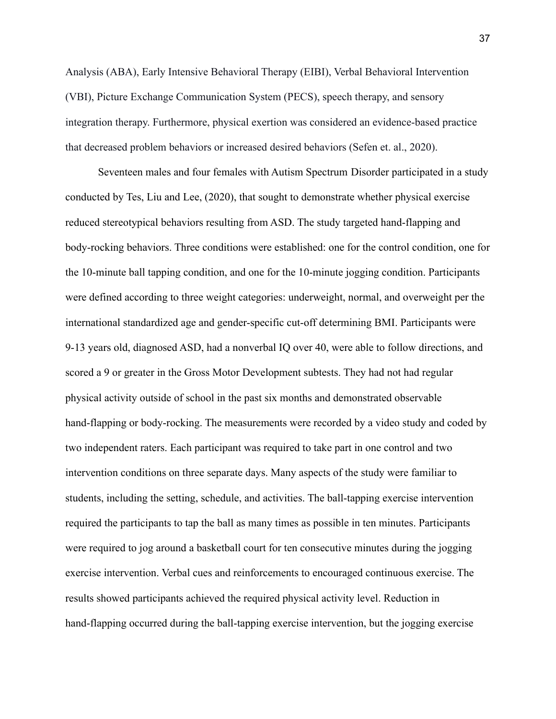Analysis (ABA), Early Intensive Behavioral Therapy (EIBI), Verbal Behavioral Intervention (VBI), Picture Exchange Communication System (PECS), speech therapy, and sensory integration therapy. Furthermore, physical exertion was considered an evidence-based practice that decreased problem behaviors or increased desired behaviors (Sefen et. al., 2020).

Seventeen males and four females with Autism Spectrum Disorder participated in a study conducted by Tes, Liu and Lee, (2020), that sought to demonstrate whether physical exercise reduced stereotypical behaviors resulting from ASD. The study targeted hand-flapping and body-rocking behaviors. Three conditions were established: one for the control condition, one for the 10-minute ball tapping condition, and one for the 10-minute jogging condition. Participants were defined according to three weight categories: underweight, normal, and overweight per the international standardized age and gender-specific cut-off determining BMI. Participants were 9-13 years old, diagnosed ASD, had a nonverbal IQ over 40, were able to follow directions, and scored a 9 or greater in the Gross Motor Development subtests. They had not had regular physical activity outside of school in the past six months and demonstrated observable hand-flapping or body-rocking. The measurements were recorded by a video study and coded by two independent raters. Each participant was required to take part in one control and two intervention conditions on three separate days. Many aspects of the study were familiar to students, including the setting, schedule, and activities. The ball-tapping exercise intervention required the participants to tap the ball as many times as possible in ten minutes. Participants were required to jog around a basketball court for ten consecutive minutes during the jogging exercise intervention. Verbal cues and reinforcements to encouraged continuous exercise. The results showed participants achieved the required physical activity level. Reduction in hand-flapping occurred during the ball-tapping exercise intervention, but the jogging exercise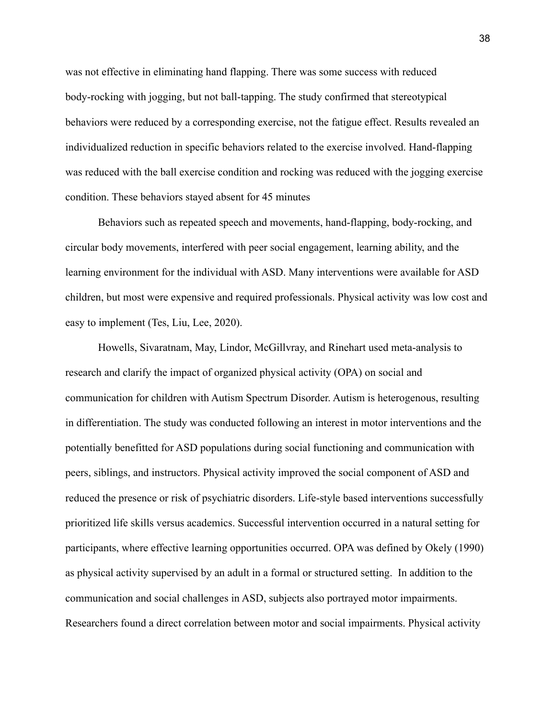was not effective in eliminating hand flapping. There was some success with reduced body-rocking with jogging, but not ball-tapping. The study confirmed that stereotypical behaviors were reduced by a corresponding exercise, not the fatigue effect. Results revealed an individualized reduction in specific behaviors related to the exercise involved. Hand-flapping was reduced with the ball exercise condition and rocking was reduced with the jogging exercise condition. These behaviors stayed absent for 45 minutes

Behaviors such as repeated speech and movements, hand-flapping, body-rocking, and circular body movements, interfered with peer social engagement, learning ability, and the learning environment for the individual with ASD. Many interventions were available for ASD children, but most were expensive and required professionals. Physical activity was low cost and easy to implement (Tes, Liu, Lee, 2020).

Howells, Sivaratnam, May, Lindor, McGillvray, and Rinehart used meta-analysis to research and clarify the impact of organized physical activity (OPA) on social and communication for children with Autism Spectrum Disorder. Autism is heterogenous, resulting in differentiation. The study was conducted following an interest in motor interventions and the potentially benefitted for ASD populations during social functioning and communication with peers, siblings, and instructors. Physical activity improved the social component of ASD and reduced the presence or risk of psychiatric disorders. Life-style based interventions successfully prioritized life skills versus academics. Successful intervention occurred in a natural setting for participants, where effective learning opportunities occurred. OPA was defined by Okely (1990) as physical activity supervised by an adult in a formal or structured setting. In addition to the communication and social challenges in ASD, subjects also portrayed motor impairments. Researchers found a direct correlation between motor and social impairments. Physical activity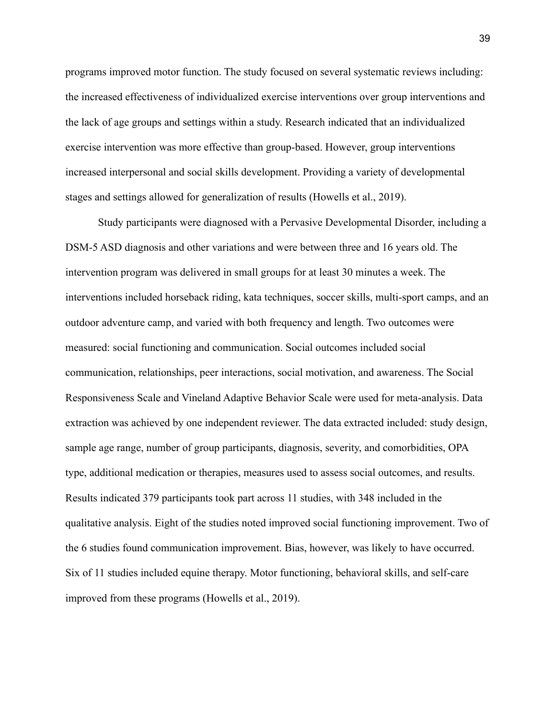programs improved motor function. The study focused on several systematic reviews including: the increased effectiveness of individualized exercise interventions over group interventions and the lack of age groups and settings within a study. Research indicated that an individualized exercise intervention was more effective than group-based. However, group interventions increased interpersonal and social skills development. Providing a variety of developmental stages and settings allowed for generalization of results (Howells et al., 2019).

Study participants were diagnosed with a Pervasive Developmental Disorder, including a DSM-5 ASD diagnosis and other variations and were between three and 16 years old. The intervention program was delivered in small groups for at least 30 minutes a week. The interventions included horseback riding, kata techniques, soccer skills, multi-sport camps, and an outdoor adventure camp, and varied with both frequency and length. Two outcomes were measured: social functioning and communication. Social outcomes included social communication, relationships, peer interactions, social motivation, and awareness. The Social Responsiveness Scale and Vineland Adaptive Behavior Scale were used for meta-analysis. Data extraction was achieved by one independent reviewer. The data extracted included: study design, sample age range, number of group participants, diagnosis, severity, and comorbidities, OPA type, additional medication or therapies, measures used to assess social outcomes, and results. Results indicated 379 participants took part across 11 studies, with 348 included in the qualitative analysis. Eight of the studies noted improved social functioning improvement. Two of the 6 studies found communication improvement. Bias, however, was likely to have occurred. Six of 11 studies included equine therapy. Motor functioning, behavioral skills, and self-care improved from these programs (Howells et al., 2019).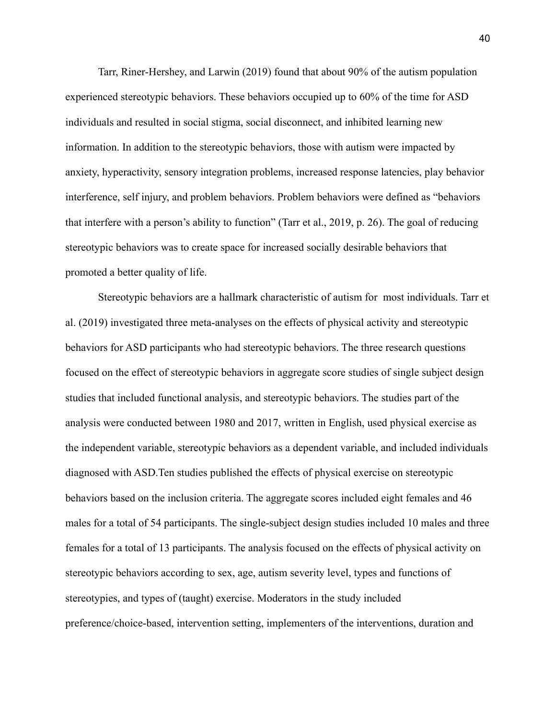Tarr, Riner-Hershey, and Larwin (2019) found that about 90% of the autism population experienced stereotypic behaviors. These behaviors occupied up to 60% of the time for ASD individuals and resulted in social stigma, social disconnect, and inhibited learning new information. In addition to the stereotypic behaviors, those with autism were impacted by anxiety, hyperactivity, sensory integration problems, increased response latencies, play behavior interference, self injury, and problem behaviors. Problem behaviors were defined as "behaviors that interfere with a person's ability to function" (Tarr et al., 2019, p. 26). The goal of reducing stereotypic behaviors was to create space for increased socially desirable behaviors that promoted a better quality of life.

Stereotypic behaviors are a hallmark characteristic of autism for most individuals. Tarr et al. (2019) investigated three meta-analyses on the effects of physical activity and stereotypic behaviors for ASD participants who had stereotypic behaviors. The three research questions focused on the effect of stereotypic behaviors in aggregate score studies of single subject design studies that included functional analysis, and stereotypic behaviors. The studies part of the analysis were conducted between 1980 and 2017, written in English, used physical exercise as the independent variable, stereotypic behaviors as a dependent variable, and included individuals diagnosed with ASD.Ten studies published the effects of physical exercise on stereotypic behaviors based on the inclusion criteria. The aggregate scores included eight females and 46 males for a total of 54 participants. The single-subject design studies included 10 males and three females for a total of 13 participants. The analysis focused on the effects of physical activity on stereotypic behaviors according to sex, age, autism severity level, types and functions of stereotypies, and types of (taught) exercise. Moderators in the study included preference/choice-based, intervention setting, implementers of the interventions, duration and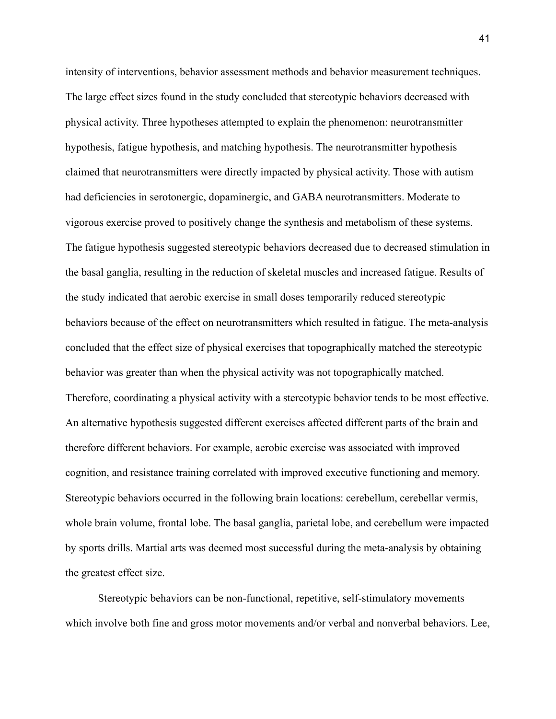intensity of interventions, behavior assessment methods and behavior measurement techniques. The large effect sizes found in the study concluded that stereotypic behaviors decreased with physical activity. Three hypotheses attempted to explain the phenomenon: neurotransmitter hypothesis, fatigue hypothesis, and matching hypothesis. The neurotransmitter hypothesis claimed that neurotransmitters were directly impacted by physical activity. Those with autism had deficiencies in serotonergic, dopaminergic, and GABA neurotransmitters. Moderate to vigorous exercise proved to positively change the synthesis and metabolism of these systems. The fatigue hypothesis suggested stereotypic behaviors decreased due to decreased stimulation in the basal ganglia, resulting in the reduction of skeletal muscles and increased fatigue. Results of the study indicated that aerobic exercise in small doses temporarily reduced stereotypic behaviors because of the effect on neurotransmitters which resulted in fatigue. The meta-analysis concluded that the effect size of physical exercises that topographically matched the stereotypic behavior was greater than when the physical activity was not topographically matched. Therefore, coordinating a physical activity with a stereotypic behavior tends to be most effective. An alternative hypothesis suggested different exercises affected different parts of the brain and therefore different behaviors. For example, aerobic exercise was associated with improved cognition, and resistance training correlated with improved executive functioning and memory. Stereotypic behaviors occurred in the following brain locations: cerebellum, cerebellar vermis, whole brain volume, frontal lobe. The basal ganglia, parietal lobe, and cerebellum were impacted by sports drills. Martial arts was deemed most successful during the meta-analysis by obtaining the greatest effect size.

Stereotypic behaviors can be non-functional, repetitive, self-stimulatory movements which involve both fine and gross motor movements and/or verbal and nonverbal behaviors. Lee,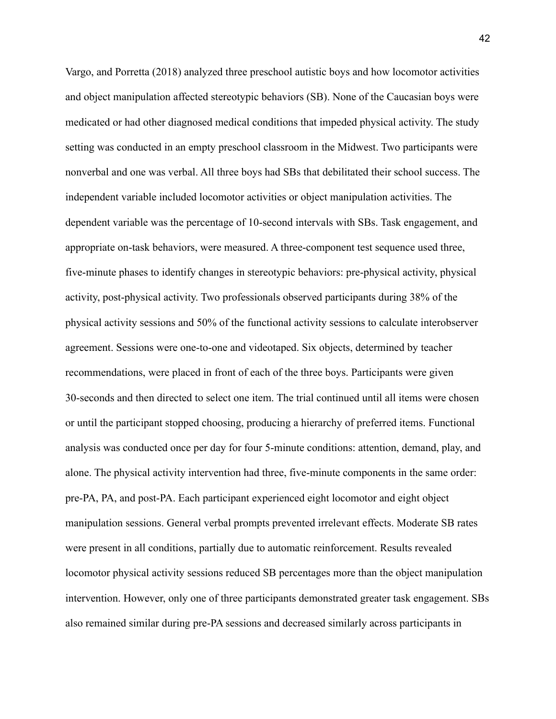Vargo, and Porretta (2018) analyzed three preschool autistic boys and how locomotor activities and object manipulation affected stereotypic behaviors (SB). None of the Caucasian boys were medicated or had other diagnosed medical conditions that impeded physical activity. The study setting was conducted in an empty preschool classroom in the Midwest. Two participants were nonverbal and one was verbal. All three boys had SBs that debilitated their school success. The independent variable included locomotor activities or object manipulation activities. The dependent variable was the percentage of 10-second intervals with SBs. Task engagement, and appropriate on-task behaviors, were measured. A three-component test sequence used three, five-minute phases to identify changes in stereotypic behaviors: pre-physical activity, physical activity, post-physical activity. Two professionals observed participants during 38% of the physical activity sessions and 50% of the functional activity sessions to calculate interobserver agreement. Sessions were one-to-one and videotaped. Six objects, determined by teacher recommendations, were placed in front of each of the three boys. Participants were given 30-seconds and then directed to select one item. The trial continued until all items were chosen or until the participant stopped choosing, producing a hierarchy of preferred items. Functional analysis was conducted once per day for four 5-minute conditions: attention, demand, play, and alone. The physical activity intervention had three, five-minute components in the same order: pre-PA, PA, and post-PA. Each participant experienced eight locomotor and eight object manipulation sessions. General verbal prompts prevented irrelevant effects. Moderate SB rates were present in all conditions, partially due to automatic reinforcement. Results revealed locomotor physical activity sessions reduced SB percentages more than the object manipulation intervention. However, only one of three participants demonstrated greater task engagement. SBs also remained similar during pre-PA sessions and decreased similarly across participants in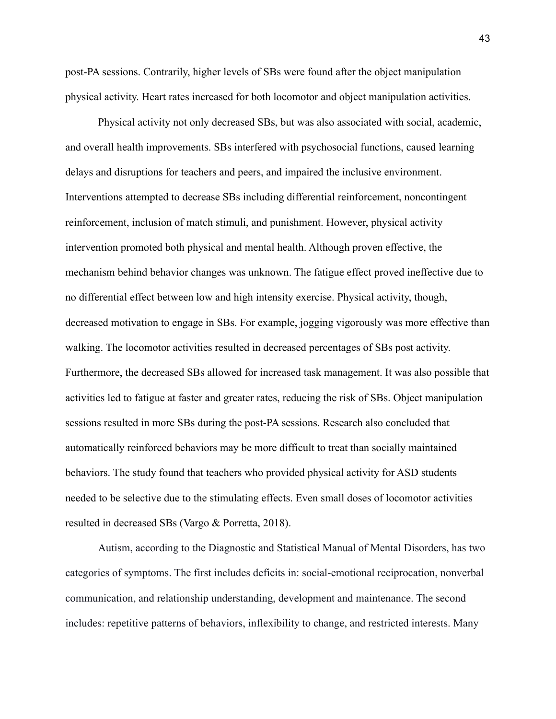post-PA sessions. Contrarily, higher levels of SBs were found after the object manipulation physical activity. Heart rates increased for both locomotor and object manipulation activities.

Physical activity not only decreased SBs, but was also associated with social, academic, and overall health improvements. SBs interfered with psychosocial functions, caused learning delays and disruptions for teachers and peers, and impaired the inclusive environment. Interventions attempted to decrease SBs including differential reinforcement, noncontingent reinforcement, inclusion of match stimuli, and punishment. However, physical activity intervention promoted both physical and mental health. Although proven effective, the mechanism behind behavior changes was unknown. The fatigue effect proved ineffective due to no differential effect between low and high intensity exercise. Physical activity, though, decreased motivation to engage in SBs. For example, jogging vigorously was more effective than walking. The locomotor activities resulted in decreased percentages of SBs post activity. Furthermore, the decreased SBs allowed for increased task management. It was also possible that activities led to fatigue at faster and greater rates, reducing the risk of SBs. Object manipulation sessions resulted in more SBs during the post-PA sessions. Research also concluded that automatically reinforced behaviors may be more difficult to treat than socially maintained behaviors. The study found that teachers who provided physical activity for ASD students needed to be selective due to the stimulating effects. Even small doses of locomotor activities resulted in decreased SBs (Vargo & Porretta, 2018).

Autism, according to the Diagnostic and Statistical Manual of Mental Disorders, has two categories of symptoms. The first includes deficits in: social-emotional reciprocation, nonverbal communication, and relationship understanding, development and maintenance. The second includes: repetitive patterns of behaviors, inflexibility to change, and restricted interests. Many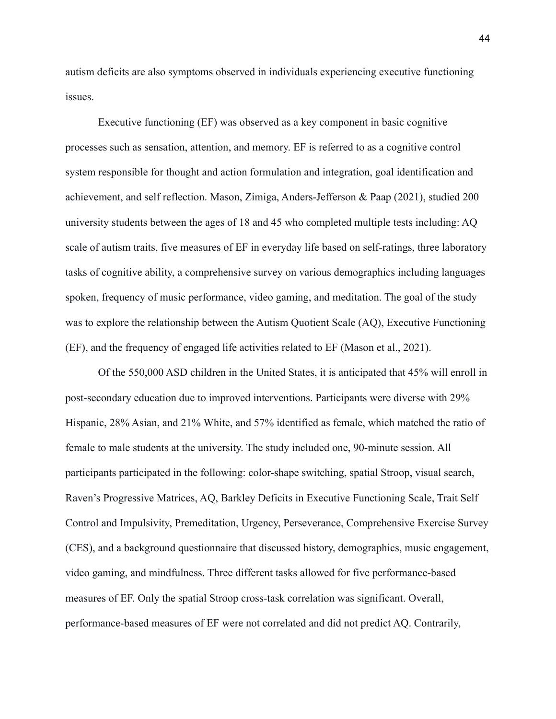autism deficits are also symptoms observed in individuals experiencing executive functioning issues.

Executive functioning (EF) was observed as a key component in basic cognitive processes such as sensation, attention, and memory. EF is referred to as a cognitive control system responsible for thought and action formulation and integration, goal identification and achievement, and self reflection. Mason, Zimiga, Anders-Jefferson & Paap (2021), studied 200 university students between the ages of 18 and 45 who completed multiple tests including: AQ scale of autism traits, five measures of EF in everyday life based on self-ratings, three laboratory tasks of cognitive ability, a comprehensive survey on various demographics including languages spoken, frequency of music performance, video gaming, and meditation. The goal of the study was to explore the relationship between the Autism Quotient Scale (AQ), Executive Functioning (EF), and the frequency of engaged life activities related to EF (Mason et al., 2021).

Of the 550,000 ASD children in the United States, it is anticipated that 45% will enroll in post-secondary education due to improved interventions. Participants were diverse with 29% Hispanic, 28% Asian, and 21% White, and 57% identified as female, which matched the ratio of female to male students at the university. The study included one, 90-minute session. All participants participated in the following: color-shape switching, spatial Stroop, visual search, Raven's Progressive Matrices, AQ, Barkley Deficits in Executive Functioning Scale, Trait Self Control and Impulsivity, Premeditation, Urgency, Perseverance, Comprehensive Exercise Survey (CES), and a background questionnaire that discussed history, demographics, music engagement, video gaming, and mindfulness. Three different tasks allowed for five performance-based measures of EF. Only the spatial Stroop cross-task correlation was significant. Overall, performance-based measures of EF were not correlated and did not predict AQ. Contrarily,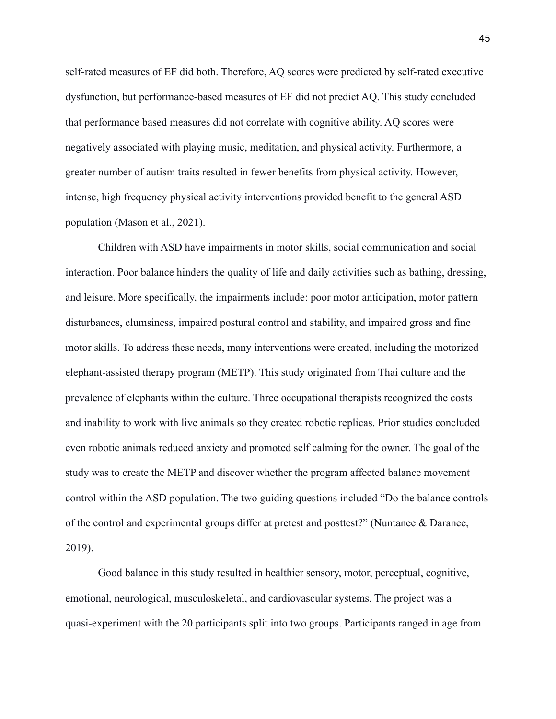self-rated measures of EF did both. Therefore, AQ scores were predicted by self-rated executive dysfunction, but performance-based measures of EF did not predict AQ. This study concluded that performance based measures did not correlate with cognitive ability. AQ scores were negatively associated with playing music, meditation, and physical activity. Furthermore, a greater number of autism traits resulted in fewer benefits from physical activity. However, intense, high frequency physical activity interventions provided benefit to the general ASD population (Mason et al., 2021).

Children with ASD have impairments in motor skills, social communication and social interaction. Poor balance hinders the quality of life and daily activities such as bathing, dressing, and leisure. More specifically, the impairments include: poor motor anticipation, motor pattern disturbances, clumsiness, impaired postural control and stability, and impaired gross and fine motor skills. To address these needs, many interventions were created, including the motorized elephant-assisted therapy program (METP). This study originated from Thai culture and the prevalence of elephants within the culture. Three occupational therapists recognized the costs and inability to work with live animals so they created robotic replicas. Prior studies concluded even robotic animals reduced anxiety and promoted self calming for the owner. The goal of the study was to create the METP and discover whether the program affected balance movement control within the ASD population. The two guiding questions included "Do the balance controls of the control and experimental groups differ at pretest and posttest?" (Nuntanee & Daranee, 2019).

Good balance in this study resulted in healthier sensory, motor, perceptual, cognitive, emotional, neurological, musculoskeletal, and cardiovascular systems. The project was a quasi-experiment with the 20 participants split into two groups. Participants ranged in age from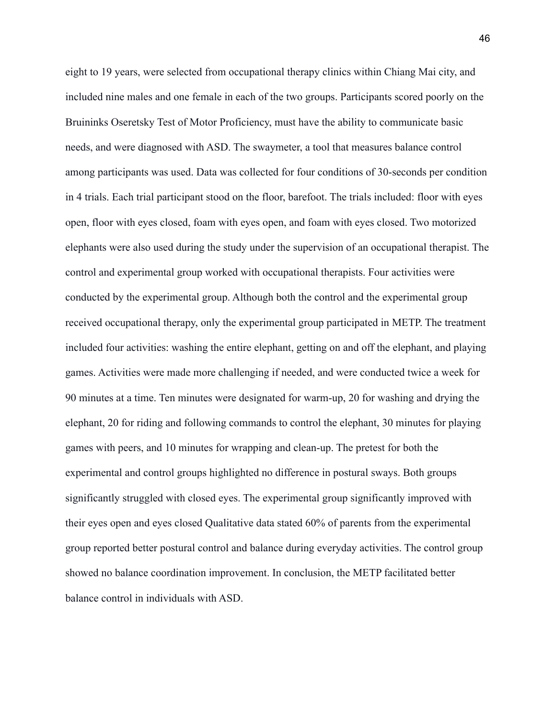eight to 19 years, were selected from occupational therapy clinics within Chiang Mai city, and included nine males and one female in each of the two groups. Participants scored poorly on the Bruininks Oseretsky Test of Motor Proficiency, must have the ability to communicate basic needs, and were diagnosed with ASD. The swaymeter, a tool that measures balance control among participants was used. Data was collected for four conditions of 30-seconds per condition in 4 trials. Each trial participant stood on the floor, barefoot. The trials included: floor with eyes open, floor with eyes closed, foam with eyes open, and foam with eyes closed. Two motorized elephants were also used during the study under the supervision of an occupational therapist. The control and experimental group worked with occupational therapists. Four activities were conducted by the experimental group. Although both the control and the experimental group received occupational therapy, only the experimental group participated in METP. The treatment included four activities: washing the entire elephant, getting on and off the elephant, and playing games. Activities were made more challenging if needed, and were conducted twice a week for 90 minutes at a time. Ten minutes were designated for warm-up, 20 for washing and drying the elephant, 20 for riding and following commands to control the elephant, 30 minutes for playing games with peers, and 10 minutes for wrapping and clean-up. The pretest for both the experimental and control groups highlighted no difference in postural sways. Both groups significantly struggled with closed eyes. The experimental group significantly improved with their eyes open and eyes closed Qualitative data stated 60% of parents from the experimental group reported better postural control and balance during everyday activities. The control group showed no balance coordination improvement. In conclusion, the METP facilitated better balance control in individuals with ASD.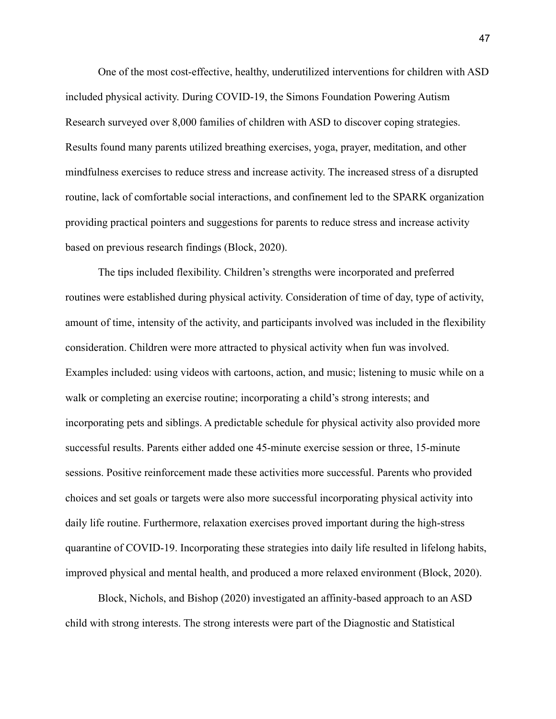One of the most cost-effective, healthy, underutilized interventions for children with ASD included physical activity. During COVID-19, the Simons Foundation Powering Autism Research surveyed over 8,000 families of children with ASD to discover coping strategies. Results found many parents utilized breathing exercises, yoga, prayer, meditation, and other mindfulness exercises to reduce stress and increase activity. The increased stress of a disrupted routine, lack of comfortable social interactions, and confinement led to the SPARK organization providing practical pointers and suggestions for parents to reduce stress and increase activity based on previous research findings (Block, 2020).

The tips included flexibility. Children's strengths were incorporated and preferred routines were established during physical activity. Consideration of time of day, type of activity, amount of time, intensity of the activity, and participants involved was included in the flexibility consideration. Children were more attracted to physical activity when fun was involved. Examples included: using videos with cartoons, action, and music; listening to music while on a walk or completing an exercise routine; incorporating a child's strong interests; and incorporating pets and siblings. A predictable schedule for physical activity also provided more successful results. Parents either added one 45-minute exercise session or three, 15-minute sessions. Positive reinforcement made these activities more successful. Parents who provided choices and set goals or targets were also more successful incorporating physical activity into daily life routine. Furthermore, relaxation exercises proved important during the high-stress quarantine of COVID-19. Incorporating these strategies into daily life resulted in lifelong habits, improved physical and mental health, and produced a more relaxed environment (Block, 2020).

Block, Nichols, and Bishop (2020) investigated an affinity-based approach to an ASD child with strong interests. The strong interests were part of the Diagnostic and Statistical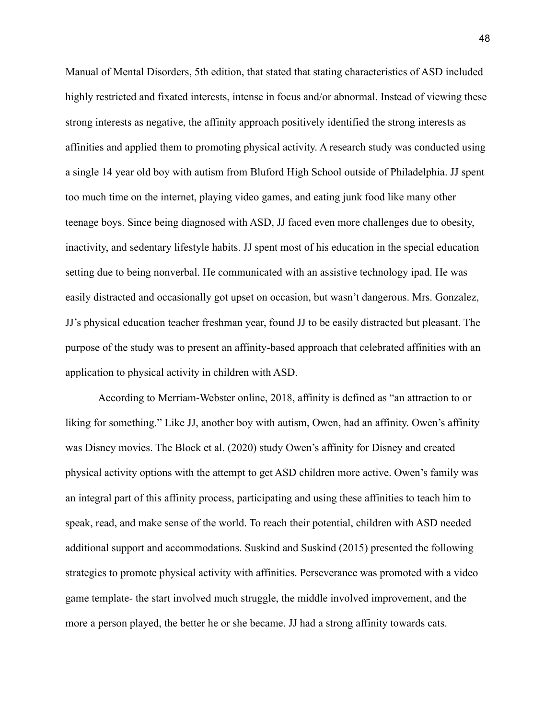Manual of Mental Disorders, 5th edition, that stated that stating characteristics of ASD included highly restricted and fixated interests, intense in focus and/or abnormal. Instead of viewing these strong interests as negative, the affinity approach positively identified the strong interests as affinities and applied them to promoting physical activity. A research study was conducted using a single 14 year old boy with autism from Bluford High School outside of Philadelphia. JJ spent too much time on the internet, playing video games, and eating junk food like many other teenage boys. Since being diagnosed with ASD, JJ faced even more challenges due to obesity, inactivity, and sedentary lifestyle habits. JJ spent most of his education in the special education setting due to being nonverbal. He communicated with an assistive technology ipad. He was easily distracted and occasionally got upset on occasion, but wasn't dangerous. Mrs. Gonzalez, JJ's physical education teacher freshman year, found JJ to be easily distracted but pleasant. The purpose of the study was to present an affinity-based approach that celebrated affinities with an application to physical activity in children with ASD.

According to Merriam-Webster online, 2018, affinity is defined as "an attraction to or liking for something." Like JJ, another boy with autism, Owen, had an affinity. Owen's affinity was Disney movies. The Block et al. (2020) study Owen's affinity for Disney and created physical activity options with the attempt to get ASD children more active. Owen's family was an integral part of this affinity process, participating and using these affinities to teach him to speak, read, and make sense of the world. To reach their potential, children with ASD needed additional support and accommodations. Suskind and Suskind (2015) presented the following strategies to promote physical activity with affinities. Perseverance was promoted with a video game template- the start involved much struggle, the middle involved improvement, and the more a person played, the better he or she became. JJ had a strong affinity towards cats.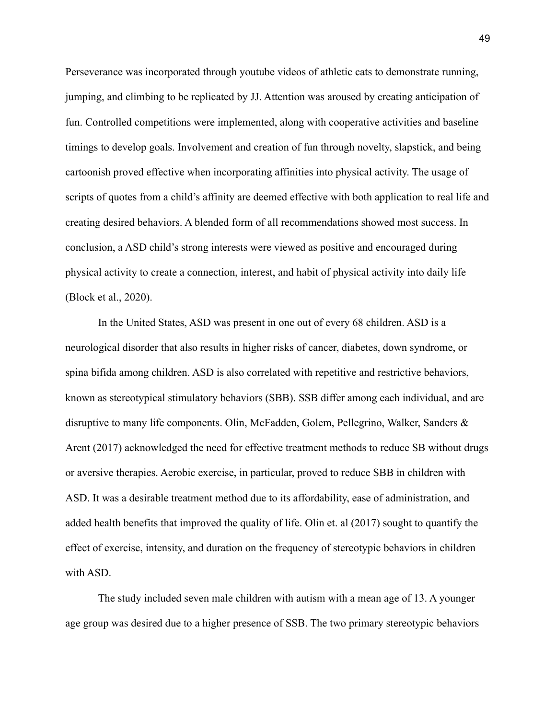Perseverance was incorporated through youtube videos of athletic cats to demonstrate running, jumping, and climbing to be replicated by JJ. Attention was aroused by creating anticipation of fun. Controlled competitions were implemented, along with cooperative activities and baseline timings to develop goals. Involvement and creation of fun through novelty, slapstick, and being cartoonish proved effective when incorporating affinities into physical activity. The usage of scripts of quotes from a child's affinity are deemed effective with both application to real life and creating desired behaviors. A blended form of all recommendations showed most success. In conclusion, a ASD child's strong interests were viewed as positive and encouraged during physical activity to create a connection, interest, and habit of physical activity into daily life (Block et al., 2020).

In the United States, ASD was present in one out of every 68 children. ASD is a neurological disorder that also results in higher risks of cancer, diabetes, down syndrome, or spina bifida among children. ASD is also correlated with repetitive and restrictive behaviors, known as stereotypical stimulatory behaviors (SBB). SSB differ among each individual, and are disruptive to many life components. Olin, McFadden, Golem, Pellegrino, Walker, Sanders & Arent (2017) acknowledged the need for effective treatment methods to reduce SB without drugs or aversive therapies. Aerobic exercise, in particular, proved to reduce SBB in children with ASD. It was a desirable treatment method due to its affordability, ease of administration, and added health benefits that improved the quality of life. Olin et. al (2017) sought to quantify the effect of exercise, intensity, and duration on the frequency of stereotypic behaviors in children with ASD.

The study included seven male children with autism with a mean age of 13. A younger age group was desired due to a higher presence of SSB. The two primary stereotypic behaviors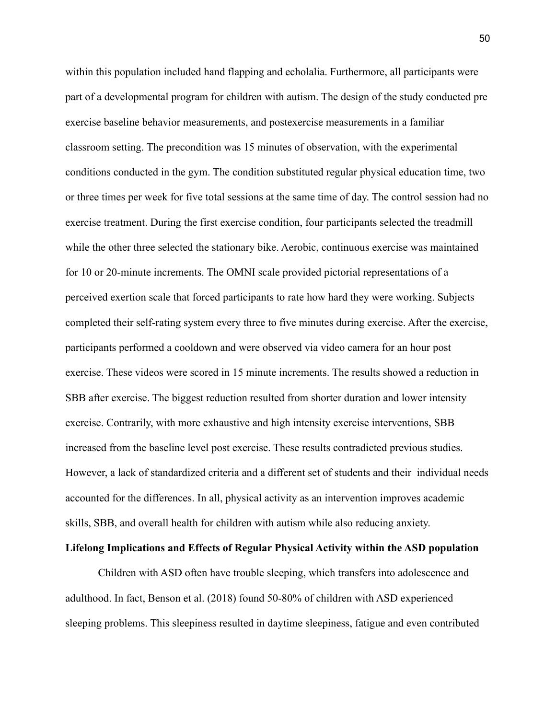within this population included hand flapping and echolalia. Furthermore, all participants were part of a developmental program for children with autism. The design of the study conducted pre exercise baseline behavior measurements, and postexercise measurements in a familiar classroom setting. The precondition was 15 minutes of observation, with the experimental conditions conducted in the gym. The condition substituted regular physical education time, two or three times per week for five total sessions at the same time of day. The control session had no exercise treatment. During the first exercise condition, four participants selected the treadmill while the other three selected the stationary bike. Aerobic, continuous exercise was maintained for 10 or 20-minute increments. The OMNI scale provided pictorial representations of a perceived exertion scale that forced participants to rate how hard they were working. Subjects completed their self-rating system every three to five minutes during exercise. After the exercise, participants performed a cooldown and were observed via video camera for an hour post exercise. These videos were scored in 15 minute increments. The results showed a reduction in SBB after exercise. The biggest reduction resulted from shorter duration and lower intensity exercise. Contrarily, with more exhaustive and high intensity exercise interventions, SBB increased from the baseline level post exercise. These results contradicted previous studies. However, a lack of standardized criteria and a different set of students and their individual needs accounted for the differences. In all, physical activity as an intervention improves academic skills, SBB, and overall health for children with autism while also reducing anxiety.

# **Lifelong Implications and Effects of Regular Physical Activity within the ASD population**

Children with ASD often have trouble sleeping, which transfers into adolescence and adulthood. In fact, Benson et al. (2018) found 50-80% of children with ASD experienced sleeping problems. This sleepiness resulted in daytime sleepiness, fatigue and even contributed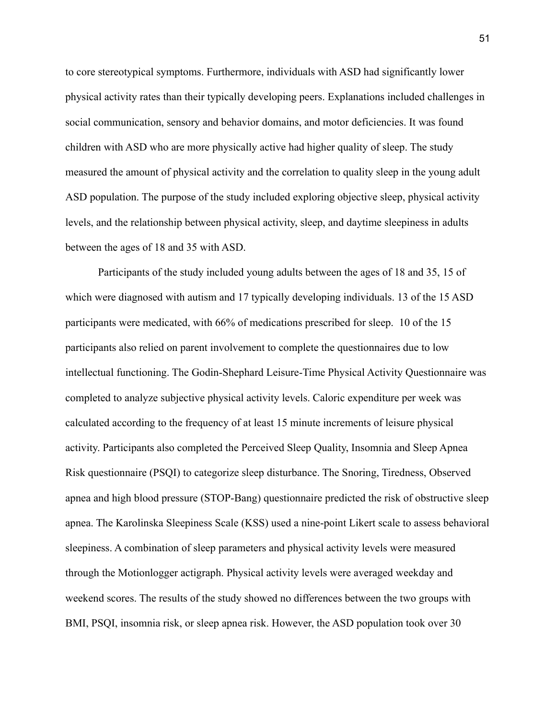to core stereotypical symptoms. Furthermore, individuals with ASD had significantly lower physical activity rates than their typically developing peers. Explanations included challenges in social communication, sensory and behavior domains, and motor deficiencies. It was found children with ASD who are more physically active had higher quality of sleep. The study measured the amount of physical activity and the correlation to quality sleep in the young adult ASD population. The purpose of the study included exploring objective sleep, physical activity levels, and the relationship between physical activity, sleep, and daytime sleepiness in adults between the ages of 18 and 35 with ASD.

Participants of the study included young adults between the ages of 18 and 35, 15 of which were diagnosed with autism and 17 typically developing individuals. 13 of the 15 ASD participants were medicated, with 66% of medications prescribed for sleep. 10 of the 15 participants also relied on parent involvement to complete the questionnaires due to low intellectual functioning. The Godin-Shephard Leisure-Time Physical Activity Questionnaire was completed to analyze subjective physical activity levels. Caloric expenditure per week was calculated according to the frequency of at least 15 minute increments of leisure physical activity. Participants also completed the Perceived Sleep Quality, Insomnia and Sleep Apnea Risk questionnaire (PSQI) to categorize sleep disturbance. The Snoring, Tiredness, Observed apnea and high blood pressure (STOP-Bang) questionnaire predicted the risk of obstructive sleep apnea. The Karolinska Sleepiness Scale (KSS) used a nine-point Likert scale to assess behavioral sleepiness. A combination of sleep parameters and physical activity levels were measured through the Motionlogger actigraph. Physical activity levels were averaged weekday and weekend scores. The results of the study showed no differences between the two groups with BMI, PSQI, insomnia risk, or sleep apnea risk. However, the ASD population took over 30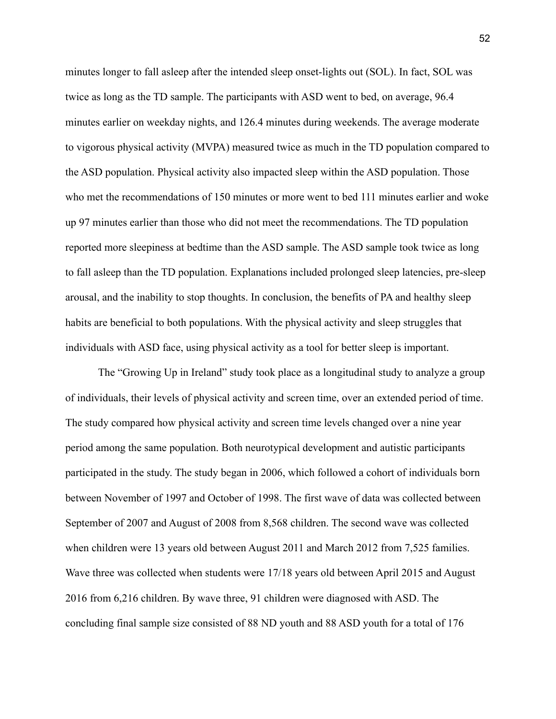minutes longer to fall asleep after the intended sleep onset-lights out (SOL). In fact, SOL was twice as long as the TD sample. The participants with ASD went to bed, on average, 96.4 minutes earlier on weekday nights, and 126.4 minutes during weekends. The average moderate to vigorous physical activity (MVPA) measured twice as much in the TD population compared to the ASD population. Physical activity also impacted sleep within the ASD population. Those who met the recommendations of 150 minutes or more went to bed 111 minutes earlier and woke up 97 minutes earlier than those who did not meet the recommendations. The TD population reported more sleepiness at bedtime than the ASD sample. The ASD sample took twice as long to fall asleep than the TD population. Explanations included prolonged sleep latencies, pre-sleep arousal, and the inability to stop thoughts. In conclusion, the benefits of PA and healthy sleep habits are beneficial to both populations. With the physical activity and sleep struggles that individuals with ASD face, using physical activity as a tool for better sleep is important.

The "Growing Up in Ireland" study took place as a longitudinal study to analyze a group of individuals, their levels of physical activity and screen time, over an extended period of time. The study compared how physical activity and screen time levels changed over a nine year period among the same population. Both neurotypical development and autistic participants participated in the study. The study began in 2006, which followed a cohort of individuals born between November of 1997 and October of 1998. The first wave of data was collected between September of 2007 and August of 2008 from 8,568 children. The second wave was collected when children were 13 years old between August 2011 and March 2012 from 7,525 families. Wave three was collected when students were 17/18 years old between April 2015 and August 2016 from 6,216 children. By wave three, 91 children were diagnosed with ASD. The concluding final sample size consisted of 88 ND youth and 88 ASD youth for a total of 176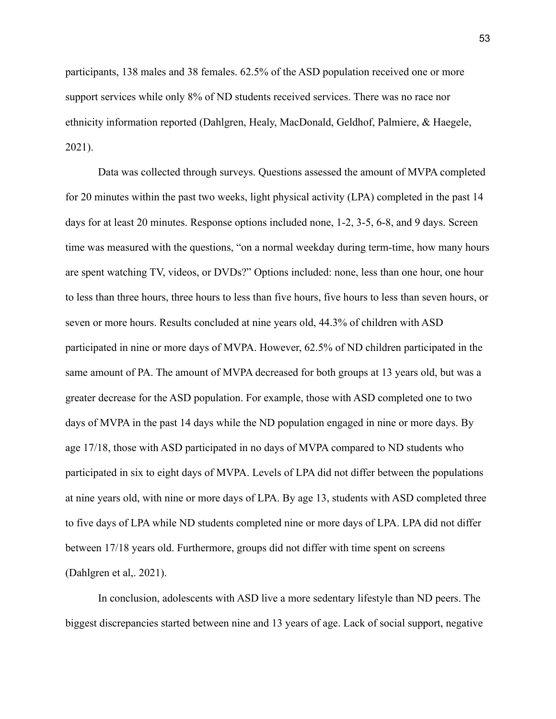participants, 138 males and 38 females. 62.5% of the ASD population received one or more support services while only 8% of ND students received services. There was no race nor ethnicity information reported (Dahlgren, Healy, MacDonald, Geldhof, Palmiere, & Haegele, 2021).

Data was collected through surveys. Questions assessed the amount of MVPA completed for 20 minutes within the past two weeks, light physical activity (LPA) completed in the past 14 days for at least 20 minutes. Response options included none, 1-2, 3-5, 6-8, and 9 days. Screen time was measured with the questions, "on a normal weekday during term-time, how many hours are spent watching TV, videos, or DVDs?" Options included: none, less than one hour, one hour to less than three hours, three hours to less than five hours, five hours to less than seven hours, or seven or more hours. Results concluded at nine years old, 44.3% of children with ASD participated in nine or more days of MVPA. However, 62.5% of ND children participated in the same amount of PA. The amount of MVPA decreased for both groups at 13 years old, but was a greater decrease for the ASD population. For example, those with ASD completed one to two days of MVPA in the past 14 days while the ND population engaged in nine or more days. By age 17/18, those with ASD participated in no days of MVPA compared to ND students who participated in six to eight days of MVPA. Levels of LPA did not differ between the populations at nine years old, with nine or more days of LPA. By age 13, students with ASD completed three to five days of LPA while ND students completed nine or more days of LPA. LPA did not differ between 17/18 years old. Furthermore, groups did not differ with time spent on screens (Dahlgren et al,. 2021).

In conclusion, adolescents with ASD live a more sedentary lifestyle than ND peers. The biggest discrepancies started between nine and 13 years of age. Lack of social support, negative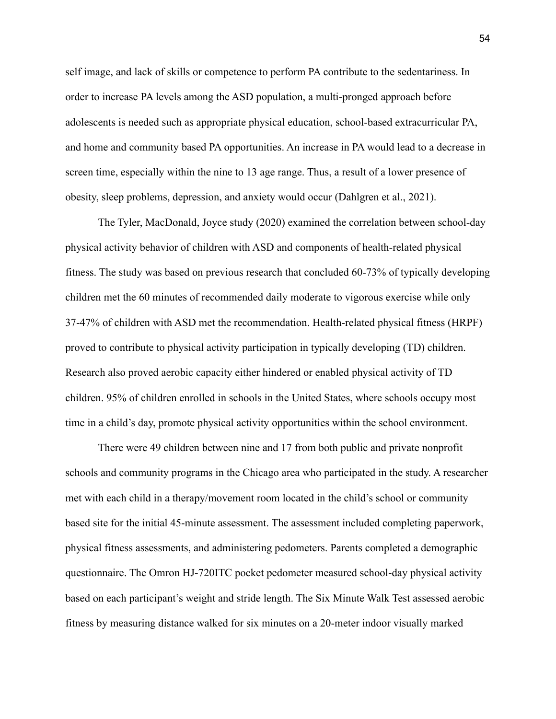self image, and lack of skills or competence to perform PA contribute to the sedentariness. In order to increase PA levels among the ASD population, a multi-pronged approach before adolescents is needed such as appropriate physical education, school-based extracurricular PA, and home and community based PA opportunities. An increase in PA would lead to a decrease in screen time, especially within the nine to 13 age range. Thus, a result of a lower presence of obesity, sleep problems, depression, and anxiety would occur (Dahlgren et al., 2021).

The Tyler, MacDonald, Joyce study (2020) examined the correlation between school-day physical activity behavior of children with ASD and components of health-related physical fitness. The study was based on previous research that concluded 60-73% of typically developing children met the 60 minutes of recommended daily moderate to vigorous exercise while only 37-47% of children with ASD met the recommendation. Health-related physical fitness (HRPF) proved to contribute to physical activity participation in typically developing (TD) children. Research also proved aerobic capacity either hindered or enabled physical activity of TD children. 95% of children enrolled in schools in the United States, where schools occupy most time in a child's day, promote physical activity opportunities within the school environment.

There were 49 children between nine and 17 from both public and private nonprofit schools and community programs in the Chicago area who participated in the study. A researcher met with each child in a therapy/movement room located in the child's school or community based site for the initial 45-minute assessment. The assessment included completing paperwork, physical fitness assessments, and administering pedometers. Parents completed a demographic questionnaire. The Omron HJ-720ITC pocket pedometer measured school-day physical activity based on each participant's weight and stride length. The Six Minute Walk Test assessed aerobic fitness by measuring distance walked for six minutes on a 20-meter indoor visually marked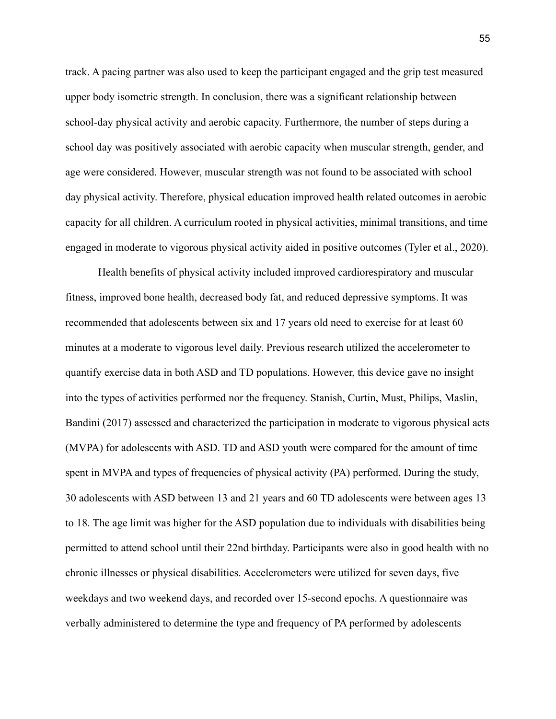track. A pacing partner was also used to keep the participant engaged and the grip test measured upper body isometric strength. In conclusion, there was a significant relationship between school-day physical activity and aerobic capacity. Furthermore, the number of steps during a school day was positively associated with aerobic capacity when muscular strength, gender, and age were considered. However, muscular strength was not found to be associated with school day physical activity. Therefore, physical education improved health related outcomes in aerobic capacity for all children. A curriculum rooted in physical activities, minimal transitions, and time engaged in moderate to vigorous physical activity aided in positive outcomes (Tyler et al., 2020).

Health benefits of physical activity included improved cardiorespiratory and muscular fitness, improved bone health, decreased body fat, and reduced depressive symptoms. It was recommended that adolescents between six and 17 years old need to exercise for at least 60 minutes at a moderate to vigorous level daily. Previous research utilized the accelerometer to quantify exercise data in both ASD and TD populations. However, this device gave no insight into the types of activities performed nor the frequency. Stanish, Curtin, Must, Philips, Maslin, Bandini (2017) assessed and characterized the participation in moderate to vigorous physical acts (MVPA) for adolescents with ASD. TD and ASD youth were compared for the amount of time spent in MVPA and types of frequencies of physical activity (PA) performed. During the study, 30 adolescents with ASD between 13 and 21 years and 60 TD adolescents were between ages 13 to 18. The age limit was higher for the ASD population due to individuals with disabilities being permitted to attend school until their 22nd birthday. Participants were also in good health with no chronic illnesses or physical disabilities. Accelerometers were utilized for seven days, five weekdays and two weekend days, and recorded over 15-second epochs. A questionnaire was verbally administered to determine the type and frequency of PA performed by adolescents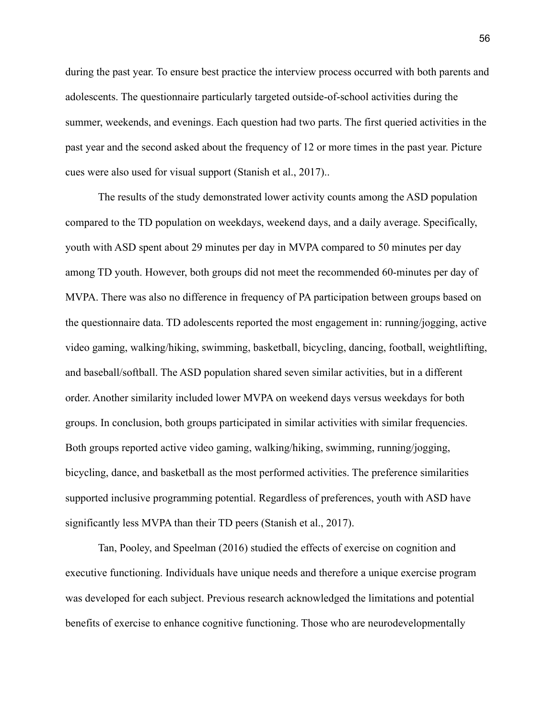during the past year. To ensure best practice the interview process occurred with both parents and adolescents. The questionnaire particularly targeted outside-of-school activities during the summer, weekends, and evenings. Each question had two parts. The first queried activities in the past year and the second asked about the frequency of 12 or more times in the past year. Picture cues were also used for visual support (Stanish et al., 2017)..

The results of the study demonstrated lower activity counts among the ASD population compared to the TD population on weekdays, weekend days, and a daily average. Specifically, youth with ASD spent about 29 minutes per day in MVPA compared to 50 minutes per day among TD youth. However, both groups did not meet the recommended 60-minutes per day of MVPA. There was also no difference in frequency of PA participation between groups based on the questionnaire data. TD adolescents reported the most engagement in: running/jogging, active video gaming, walking/hiking, swimming, basketball, bicycling, dancing, football, weightlifting, and baseball/softball. The ASD population shared seven similar activities, but in a different order. Another similarity included lower MVPA on weekend days versus weekdays for both groups. In conclusion, both groups participated in similar activities with similar frequencies. Both groups reported active video gaming, walking/hiking, swimming, running/jogging, bicycling, dance, and basketball as the most performed activities. The preference similarities supported inclusive programming potential. Regardless of preferences, youth with ASD have significantly less MVPA than their TD peers (Stanish et al., 2017).

Tan, Pooley, and Speelman (2016) studied the effects of exercise on cognition and executive functioning. Individuals have unique needs and therefore a unique exercise program was developed for each subject. Previous research acknowledged the limitations and potential benefits of exercise to enhance cognitive functioning. Those who are neurodevelopmentally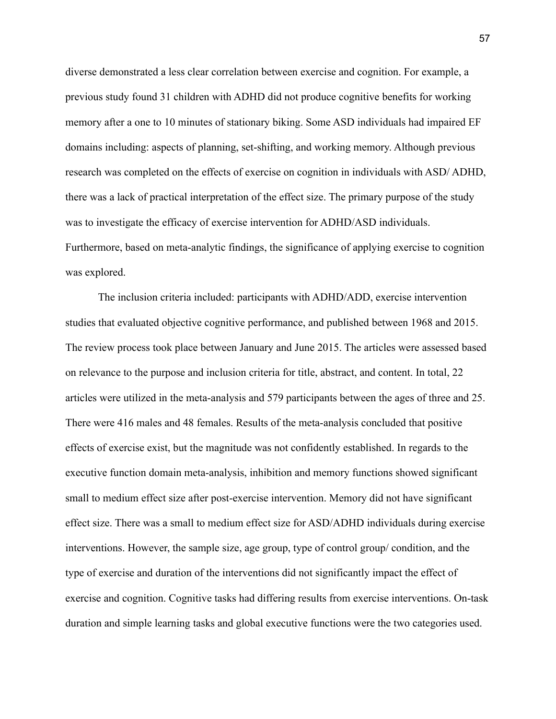diverse demonstrated a less clear correlation between exercise and cognition. For example, a previous study found 31 children with ADHD did not produce cognitive benefits for working memory after a one to 10 minutes of stationary biking. Some ASD individuals had impaired EF domains including: aspects of planning, set-shifting, and working memory. Although previous research was completed on the effects of exercise on cognition in individuals with ASD/ ADHD, there was a lack of practical interpretation of the effect size. The primary purpose of the study was to investigate the efficacy of exercise intervention for ADHD/ASD individuals. Furthermore, based on meta-analytic findings, the significance of applying exercise to cognition was explored.

The inclusion criteria included: participants with ADHD/ADD, exercise intervention studies that evaluated objective cognitive performance, and published between 1968 and 2015. The review process took place between January and June 2015. The articles were assessed based on relevance to the purpose and inclusion criteria for title, abstract, and content. In total, 22 articles were utilized in the meta-analysis and 579 participants between the ages of three and 25. There were 416 males and 48 females. Results of the meta-analysis concluded that positive effects of exercise exist, but the magnitude was not confidently established. In regards to the executive function domain meta-analysis, inhibition and memory functions showed significant small to medium effect size after post-exercise intervention. Memory did not have significant effect size. There was a small to medium effect size for ASD/ADHD individuals during exercise interventions. However, the sample size, age group, type of control group/ condition, and the type of exercise and duration of the interventions did not significantly impact the effect of exercise and cognition. Cognitive tasks had differing results from exercise interventions. On-task duration and simple learning tasks and global executive functions were the two categories used.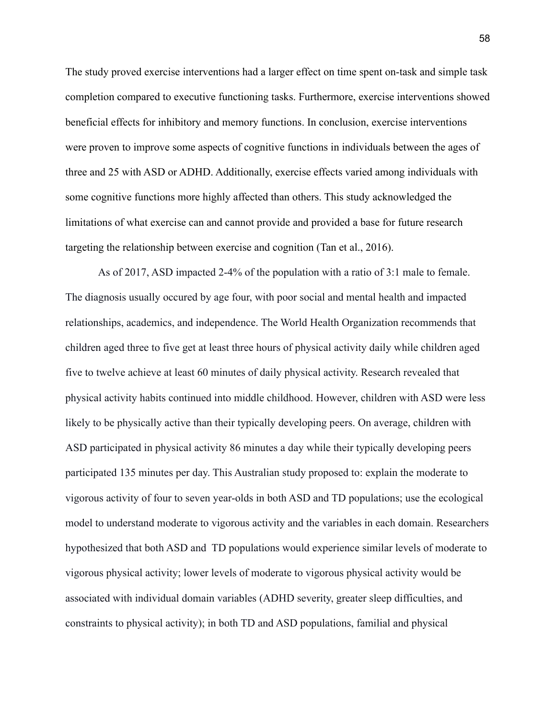The study proved exercise interventions had a larger effect on time spent on-task and simple task completion compared to executive functioning tasks. Furthermore, exercise interventions showed beneficial effects for inhibitory and memory functions. In conclusion, exercise interventions were proven to improve some aspects of cognitive functions in individuals between the ages of three and 25 with ASD or ADHD. Additionally, exercise effects varied among individuals with some cognitive functions more highly affected than others. This study acknowledged the limitations of what exercise can and cannot provide and provided a base for future research targeting the relationship between exercise and cognition (Tan et al., 2016).

As of 2017, ASD impacted 2-4% of the population with a ratio of 3:1 male to female. The diagnosis usually occured by age four, with poor social and mental health and impacted relationships, academics, and independence. The World Health Organization recommends that children aged three to five get at least three hours of physical activity daily while children aged five to twelve achieve at least 60 minutes of daily physical activity. Research revealed that physical activity habits continued into middle childhood. However, children with ASD were less likely to be physically active than their typically developing peers. On average, children with ASD participated in physical activity 86 minutes a day while their typically developing peers participated 135 minutes per day. This Australian study proposed to: explain the moderate to vigorous activity of four to seven year-olds in both ASD and TD populations; use the ecological model to understand moderate to vigorous activity and the variables in each domain. Researchers hypothesized that both ASD and TD populations would experience similar levels of moderate to vigorous physical activity; lower levels of moderate to vigorous physical activity would be associated with individual domain variables (ADHD severity, greater sleep difficulties, and constraints to physical activity); in both TD and ASD populations, familial and physical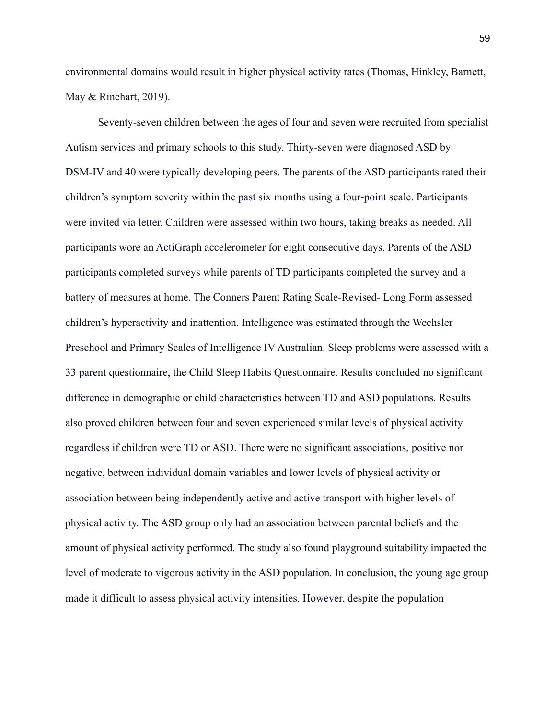environmental domains would result in higher physical activity rates (Thomas, Hinkley, Barnett, May & Rinehart, 2019).

Seventy-seven children between the ages of four and seven were recruited from specialist Autism services and primary schools to this study. Thirty-seven were diagnosed ASD by DSM-IV and 40 were typically developing peers. The parents of the ASD participants rated their children's symptom severity within the past six months using a four-point scale. Participants were invited via letter. Children were assessed within two hours, taking breaks as needed. All participants wore an ActiGraph accelerometer for eight consecutive days. Parents of the ASD participants completed surveys while parents of TD participants completed the survey and a battery of measures at home. The Conners Parent Rating Scale-Revised- Long Form assessed children's hyperactivity and inattention. Intelligence was estimated through the Wechsler Preschool and Primary Scales of Intelligence IV Australian. Sleep problems were assessed with a 33 parent questionnaire, the Child Sleep Habits Questionnaire. Results concluded no significant difference in demographic or child characteristics between TD and ASD populations. Results also proved children between four and seven experienced similar levels of physical activity regardless if children were TD or ASD. There were no significant associations, positive nor negative, between individual domain variables and lower levels of physical activity or association between being independently active and active transport with higher levels of physical activity. The ASD group only had an association between parental beliefs and the amount of physical activity performed. The study also found playground suitability impacted the level of moderate to vigorous activity in the ASD population. In conclusion, the young age group made it difficult to assess physical activity intensities. However, despite the population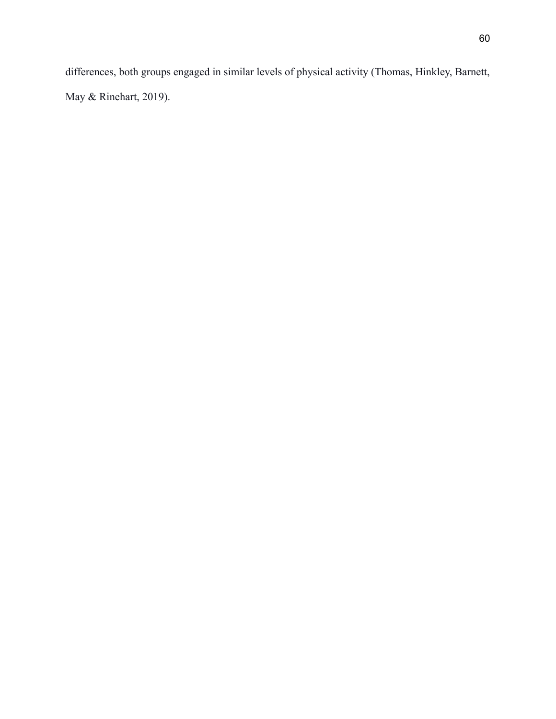differences, both groups engaged in similar levels of physical activity (Thomas, Hinkley, Barnett, May & Rinehart, 2019).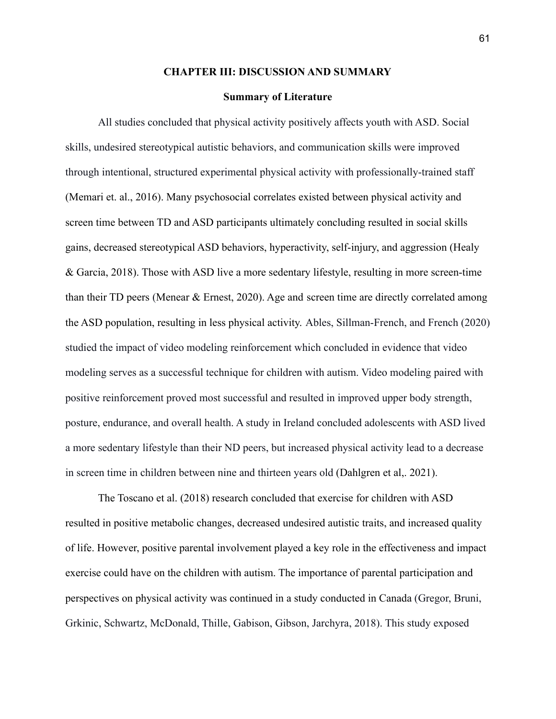## **CHAPTER III: DISCUSSION AND SUMMARY**

## **Summary of Literature**

All studies concluded that physical activity positively affects youth with ASD. Social skills, undesired stereotypical autistic behaviors, and communication skills were improved through intentional, structured experimental physical activity with professionally-trained staff (Memari et. al., 2016). Many psychosocial correlates existed between physical activity and screen time between TD and ASD participants ultimately concluding resulted in social skills gains, decreased stereotypical ASD behaviors, hyperactivity, self-injury, and aggression (Healy & Garcia, 2018). Those with ASD live a more sedentary lifestyle, resulting in more screen-time than their TD peers (Menear & Ernest, 2020). Age and screen time are directly correlated among the ASD population, resulting in less physical activity. Ables, Sillman-French, and French (2020) studied the impact of video modeling reinforcement which concluded in evidence that video modeling serves as a successful technique for children with autism. Video modeling paired with positive reinforcement proved most successful and resulted in improved upper body strength, posture, endurance, and overall health. A study in Ireland concluded adolescents with ASD lived a more sedentary lifestyle than their ND peers, but increased physical activity lead to a decrease in screen time in children between nine and thirteen years old (Dahlgren et al,. 2021).

The Toscano et al. (2018) research concluded that exercise for children with ASD resulted in positive metabolic changes, decreased undesired autistic traits, and increased quality of life. However, positive parental involvement played a key role in the effectiveness and impact exercise could have on the children with autism. The importance of parental participation and perspectives on physical activity was continued in a study conducted in Canada (Gregor, Bruni, Grkinic, Schwartz, McDonald, Thille, Gabison, Gibson, Jarchyra, 2018). This study exposed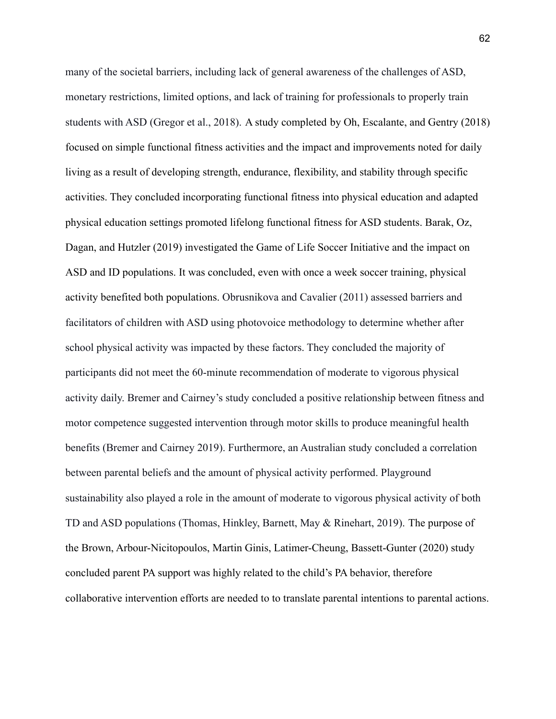many of the societal barriers, including lack of general awareness of the challenges of ASD, monetary restrictions, limited options, and lack of training for professionals to properly train students with ASD (Gregor et al., 2018). A study completed by Oh, Escalante, and Gentry (2018) focused on simple functional fitness activities and the impact and improvements noted for daily living as a result of developing strength, endurance, flexibility, and stability through specific activities. They concluded incorporating functional fitness into physical education and adapted physical education settings promoted lifelong functional fitness for ASD students. Barak, Oz, Dagan, and Hutzler (2019) investigated the Game of Life Soccer Initiative and the impact on ASD and ID populations. It was concluded, even with once a week soccer training, physical activity benefited both populations. Obrusnikova and Cavalier (2011) assessed barriers and facilitators of children with ASD using photovoice methodology to determine whether after school physical activity was impacted by these factors. They concluded the majority of participants did not meet the 60-minute recommendation of moderate to vigorous physical activity daily. Bremer and Cairney's study concluded a positive relationship between fitness and motor competence suggested intervention through motor skills to produce meaningful health benefits (Bremer and Cairney 2019). Furthermore, an Australian study concluded a correlation between parental beliefs and the amount of physical activity performed. Playground sustainability also played a role in the amount of moderate to vigorous physical activity of both TD and ASD populations (Thomas, Hinkley, Barnett, May & Rinehart, 2019). The purpose of the Brown, Arbour-Nicitopoulos, Martin Ginis, Latimer-Cheung, Bassett-Gunter (2020) study concluded parent PA support was highly related to the child's PA behavior, therefore collaborative intervention efforts are needed to to translate parental intentions to parental actions.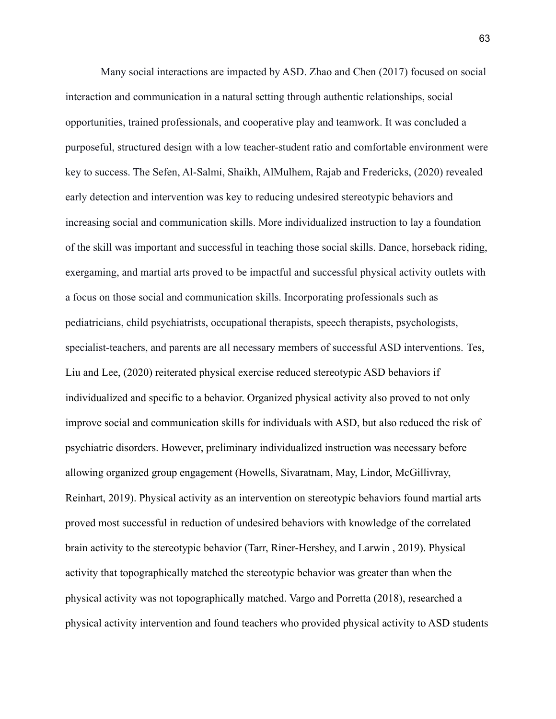Many social interactions are impacted by ASD. Zhao and Chen (2017) focused on social interaction and communication in a natural setting through authentic relationships, social opportunities, trained professionals, and cooperative play and teamwork. It was concluded a purposeful, structured design with a low teacher-student ratio and comfortable environment were key to success. The Sefen, Al-Salmi, Shaikh, AlMulhem, Rajab and Fredericks, (2020) revealed early detection and intervention was key to reducing undesired stereotypic behaviors and increasing social and communication skills. More individualized instruction to lay a foundation of the skill was important and successful in teaching those social skills. Dance, horseback riding, exergaming, and martial arts proved to be impactful and successful physical activity outlets with a focus on those social and communication skills. Incorporating professionals such as pediatricians, child psychiatrists, occupational therapists, speech therapists, psychologists, specialist-teachers, and parents are all necessary members of successful ASD interventions. Tes, Liu and Lee, (2020) reiterated physical exercise reduced stereotypic ASD behaviors if individualized and specific to a behavior. Organized physical activity also proved to not only improve social and communication skills for individuals with ASD, but also reduced the risk of psychiatric disorders. However, preliminary individualized instruction was necessary before allowing organized group engagement (Howells, Sivaratnam, May, Lindor, McGillivray, Reinhart, 2019). Physical activity as an intervention on stereotypic behaviors found martial arts proved most successful in reduction of undesired behaviors with knowledge of the correlated brain activity to the stereotypic behavior (Tarr, Riner-Hershey, and Larwin , 2019). Physical activity that topographically matched the stereotypic behavior was greater than when the physical activity was not topographically matched. Vargo and Porretta (2018), researched a physical activity intervention and found teachers who provided physical activity to ASD students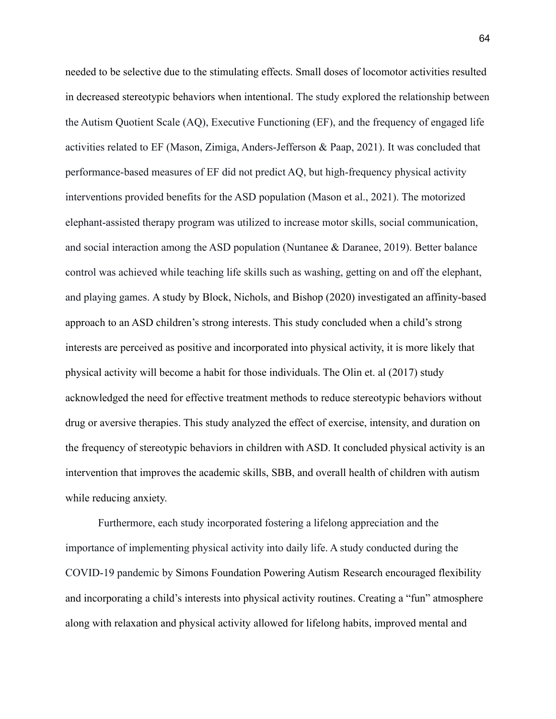needed to be selective due to the stimulating effects. Small doses of locomotor activities resulted in decreased stereotypic behaviors when intentional. The study explored the relationship between the Autism Quotient Scale (AQ), Executive Functioning (EF), and the frequency of engaged life activities related to EF (Mason, Zimiga, Anders-Jefferson & Paap, 2021). It was concluded that performance-based measures of EF did not predict AQ, but high-frequency physical activity interventions provided benefits for the ASD population (Mason et al., 2021). The motorized elephant-assisted therapy program was utilized to increase motor skills, social communication, and social interaction among the ASD population (Nuntanee & Daranee, 2019). Better balance control was achieved while teaching life skills such as washing, getting on and off the elephant, and playing games. A study by Block, Nichols, and Bishop (2020) investigated an affinity-based approach to an ASD children's strong interests. This study concluded when a child's strong interests are perceived as positive and incorporated into physical activity, it is more likely that physical activity will become a habit for those individuals. The Olin et. al (2017) study acknowledged the need for effective treatment methods to reduce stereotypic behaviors without drug or aversive therapies. This study analyzed the effect of exercise, intensity, and duration on the frequency of stereotypic behaviors in children with ASD. It concluded physical activity is an intervention that improves the academic skills, SBB, and overall health of children with autism while reducing anxiety.

Furthermore, each study incorporated fostering a lifelong appreciation and the importance of implementing physical activity into daily life. A study conducted during the COVID-19 pandemic by Simons Foundation Powering Autism Research encouraged flexibility and incorporating a child's interests into physical activity routines. Creating a "fun" atmosphere along with relaxation and physical activity allowed for lifelong habits, improved mental and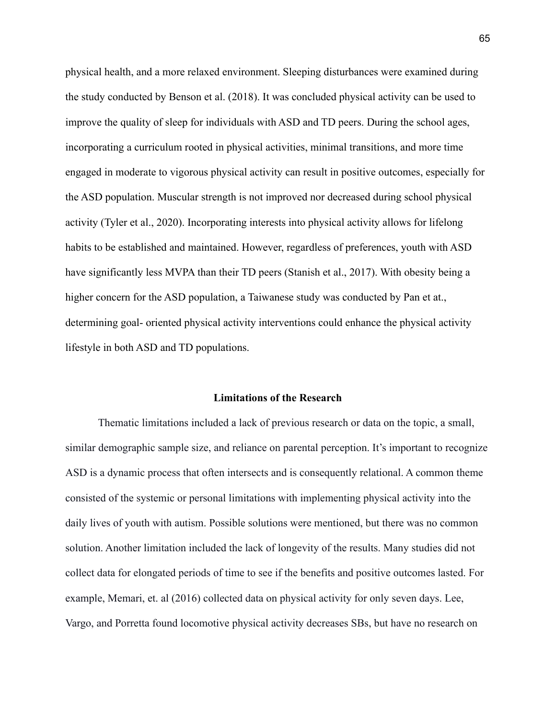physical health, and a more relaxed environment. Sleeping disturbances were examined during the study conducted by Benson et al. (2018). It was concluded physical activity can be used to improve the quality of sleep for individuals with ASD and TD peers. During the school ages, incorporating a curriculum rooted in physical activities, minimal transitions, and more time engaged in moderate to vigorous physical activity can result in positive outcomes, especially for the ASD population. Muscular strength is not improved nor decreased during school physical activity (Tyler et al., 2020). Incorporating interests into physical activity allows for lifelong habits to be established and maintained. However, regardless of preferences, youth with ASD have significantly less MVPA than their TD peers (Stanish et al., 2017). With obesity being a higher concern for the ASD population, a Taiwanese study was conducted by Pan et at., determining goal- oriented physical activity interventions could enhance the physical activity lifestyle in both ASD and TD populations.

## **Limitations of the Research**

Thematic limitations included a lack of previous research or data on the topic, a small, similar demographic sample size, and reliance on parental perception. It's important to recognize ASD is a dynamic process that often intersects and is consequently relational. A common theme consisted of the systemic or personal limitations with implementing physical activity into the daily lives of youth with autism. Possible solutions were mentioned, but there was no common solution. Another limitation included the lack of longevity of the results. Many studies did not collect data for elongated periods of time to see if the benefits and positive outcomes lasted. For example, Memari, et. al (2016) collected data on physical activity for only seven days. Lee, Vargo, and Porretta found locomotive physical activity decreases SBs, but have no research on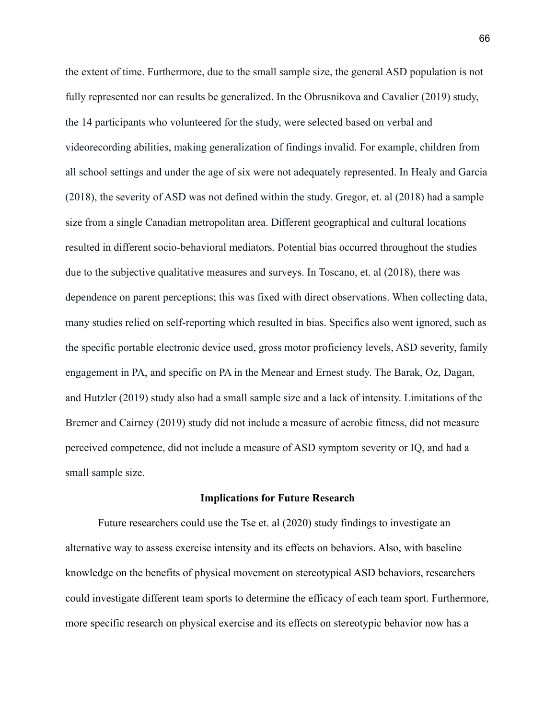the extent of time. Furthermore, due to the small sample size, the general ASD population is not fully represented nor can results be generalized. In the Obrusnikova and Cavalier (2019) study, the 14 participants who volunteered for the study, were selected based on verbal and videorecording abilities, making generalization of findings invalid. For example, children from all school settings and under the age of six were not adequately represented. In Healy and Garcia (2018), the severity of ASD was not defined within the study. Gregor, et. al (2018) had a sample size from a single Canadian metropolitan area. Different geographical and cultural locations resulted in different socio-behavioral mediators. Potential bias occurred throughout the studies due to the subjective qualitative measures and surveys. In Toscano, et. al (2018), there was dependence on parent perceptions; this was fixed with direct observations. When collecting data, many studies relied on self-reporting which resulted in bias. Specifics also went ignored, such as the specific portable electronic device used, gross motor proficiency levels, ASD severity, family engagement in PA, and specific on PA in the Menear and Ernest study. The Barak, Oz, Dagan, and Hutzler (2019) study also had a small sample size and a lack of intensity. Limitations of the Bremer and Cairney (2019) study did not include a measure of aerobic fitness, did not measure perceived competence, did not include a measure of ASD symptom severity or IQ, and had a small sample size.

#### **Implications for Future Research**

Future researchers could use the Tse et. al (2020) study findings to investigate an alternative way to assess exercise intensity and its effects on behaviors. Also, with baseline knowledge on the benefits of physical movement on stereotypical ASD behaviors, researchers could investigate different team sports to determine the efficacy of each team sport. Furthermore, more specific research on physical exercise and its effects on stereotypic behavior now has a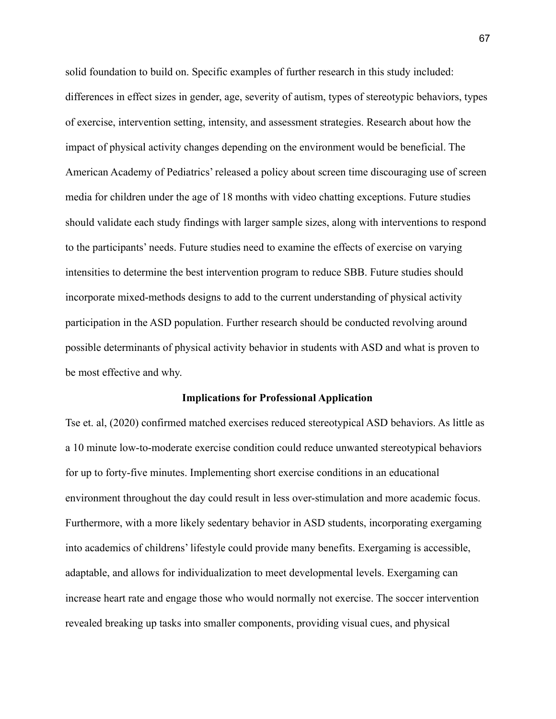solid foundation to build on. Specific examples of further research in this study included: differences in effect sizes in gender, age, severity of autism, types of stereotypic behaviors, types of exercise, intervention setting, intensity, and assessment strategies. Research about how the impact of physical activity changes depending on the environment would be beneficial. The American Academy of Pediatrics' released a policy about screen time discouraging use of screen media for children under the age of 18 months with video chatting exceptions. Future studies should validate each study findings with larger sample sizes, along with interventions to respond to the participants' needs. Future studies need to examine the effects of exercise on varying intensities to determine the best intervention program to reduce SBB. Future studies should incorporate mixed-methods designs to add to the current understanding of physical activity participation in the ASD population. Further research should be conducted revolving around possible determinants of physical activity behavior in students with ASD and what is proven to be most effective and why.

### **Implications for Professional Application**

Tse et. al, (2020) confirmed matched exercises reduced stereotypical ASD behaviors. As little as a 10 minute low-to-moderate exercise condition could reduce unwanted stereotypical behaviors for up to forty-five minutes. Implementing short exercise conditions in an educational environment throughout the day could result in less over-stimulation and more academic focus. Furthermore, with a more likely sedentary behavior in ASD students, incorporating exergaming into academics of childrens' lifestyle could provide many benefits. Exergaming is accessible, adaptable, and allows for individualization to meet developmental levels. Exergaming can increase heart rate and engage those who would normally not exercise. The soccer intervention revealed breaking up tasks into smaller components, providing visual cues, and physical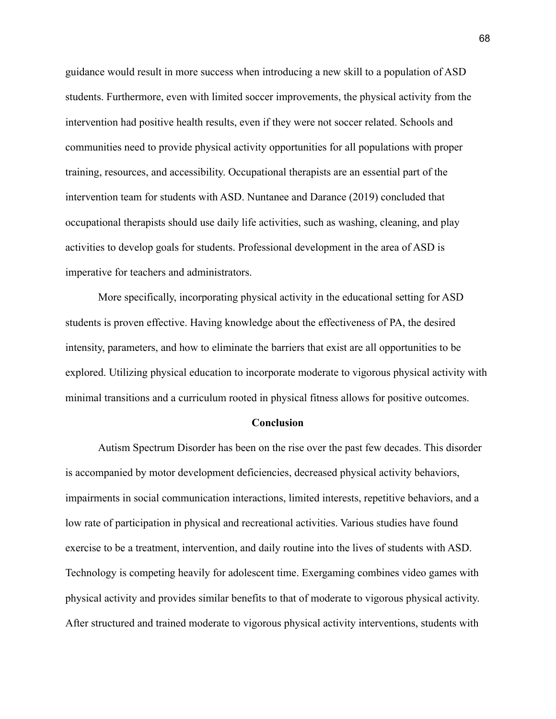guidance would result in more success when introducing a new skill to a population of ASD students. Furthermore, even with limited soccer improvements, the physical activity from the intervention had positive health results, even if they were not soccer related. Schools and communities need to provide physical activity opportunities for all populations with proper training, resources, and accessibility. Occupational therapists are an essential part of the intervention team for students with ASD. Nuntanee and Darance (2019) concluded that occupational therapists should use daily life activities, such as washing, cleaning, and play activities to develop goals for students. Professional development in the area of ASD is imperative for teachers and administrators.

More specifically, incorporating physical activity in the educational setting for ASD students is proven effective. Having knowledge about the effectiveness of PA, the desired intensity, parameters, and how to eliminate the barriers that exist are all opportunities to be explored. Utilizing physical education to incorporate moderate to vigorous physical activity with minimal transitions and a curriculum rooted in physical fitness allows for positive outcomes.

### **Conclusion**

Autism Spectrum Disorder has been on the rise over the past few decades. This disorder is accompanied by motor development deficiencies, decreased physical activity behaviors, impairments in social communication interactions, limited interests, repetitive behaviors, and a low rate of participation in physical and recreational activities. Various studies have found exercise to be a treatment, intervention, and daily routine into the lives of students with ASD. Technology is competing heavily for adolescent time. Exergaming combines video games with physical activity and provides similar benefits to that of moderate to vigorous physical activity. After structured and trained moderate to vigorous physical activity interventions, students with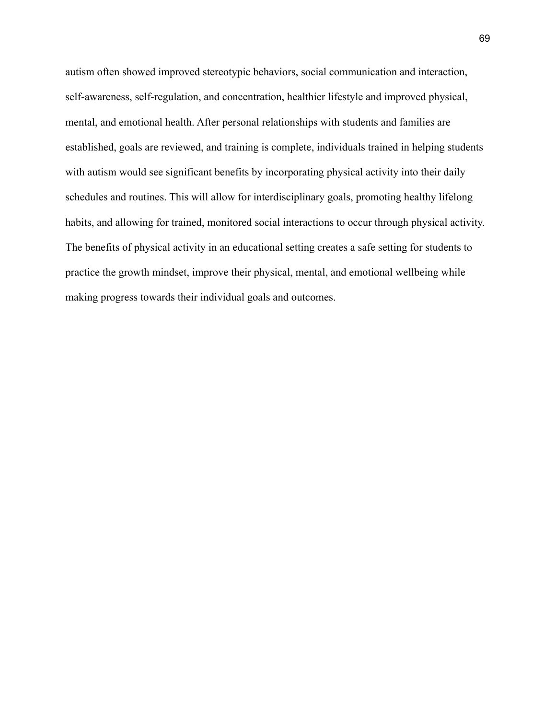autism often showed improved stereotypic behaviors, social communication and interaction, self-awareness, self-regulation, and concentration, healthier lifestyle and improved physical, mental, and emotional health. After personal relationships with students and families are established, goals are reviewed, and training is complete, individuals trained in helping students with autism would see significant benefits by incorporating physical activity into their daily schedules and routines. This will allow for interdisciplinary goals, promoting healthy lifelong habits, and allowing for trained, monitored social interactions to occur through physical activity. The benefits of physical activity in an educational setting creates a safe setting for students to practice the growth mindset, improve their physical, mental, and emotional wellbeing while making progress towards their individual goals and outcomes.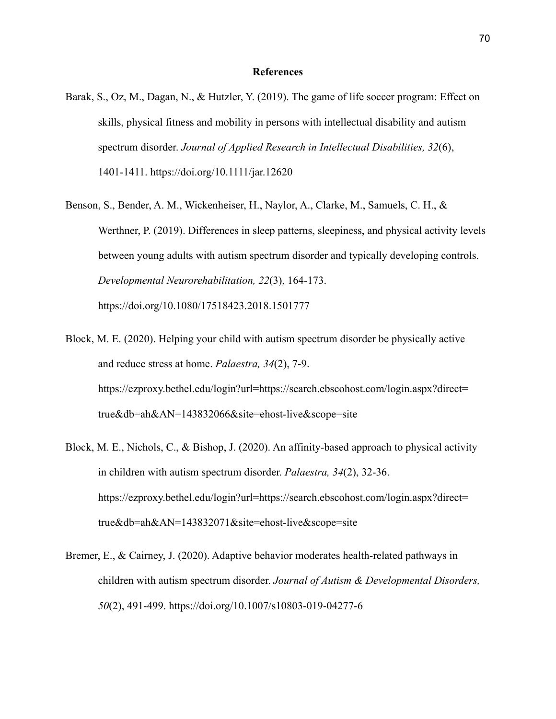### **References**

- Barak, S., Oz, M., Dagan, N., & Hutzler, Y. (2019). The game of life soccer program: Effect on skills, physical fitness and mobility in persons with intellectual disability and autism spectrum disorder. *Journal of Applied Research in Intellectual Disabilities, 32*(6), 1401-1411.<https://doi.org/>10.1111/jar.12620
- Benson, S., Bender, A. M., Wickenheiser, H., Naylor, A., Clarke, M., Samuels, C. H., & Werthner, P. (2019). Differences in sleep patterns, sleepiness, and physical activity levels between young adults with autism spectrum disorder and typically developing controls. *Developmental Neurorehabilitation, 22*(3), 164-173. [https://doi.org/1](https://doi.org/)0.1080/17518423.2018.1501777
- Block, M. E. (2020). Helping your child with autism spectrum disorder be physically active and reduce stress at home. *Palaestra, 34*(2), 7-9. [https://ezproxy.bethel.edu/login?url=https://search.ebscohost.com/login.aspx?direct=](https://ezproxy.bethel.edu/login?url=https://search.ebscohost.com/login.aspx?direct=true&db=aph&AN=143832066&site=ehost-live&scope=site) [true&db=ah&AN=143832066&site=ehost-live&scope=site](https://ezproxy.bethel.edu/login?url=https://search.ebscohost.com/login.aspx?direct=true&db=aph&AN=143832066&site=ehost-live&scope=site)
- Block, M. E., Nichols, C., & Bishop, J. (2020). An affinity-based approach to physical activity in children with autism spectrum disorder. *Palaestra, 34*(2), 32-36. [https://ezproxy.bethel.edu/login?url=https://search.ebscohost.com/login.aspx?direct=](https://ezproxy.bethel.edu/login?url=https://search.ebscohost.com/login.aspx?direct=true&db=aph&AN=143832071&site=ehost-live&scope=site) [true&db=ah&AN=143832071&site=ehost-live&scope=site](https://ezproxy.bethel.edu/login?url=https://search.ebscohost.com/login.aspx?direct=true&db=aph&AN=143832071&site=ehost-live&scope=site)
- Bremer, E., & Cairney, J. (2020). Adaptive behavior moderates health-related pathways in children with autism spectrum disorder. *Journal of Autism & Developmental Disorders, 50*(2), 491-499. [https://doi.org/1](https://doi.org/)0.1007/s10803-019-04277-6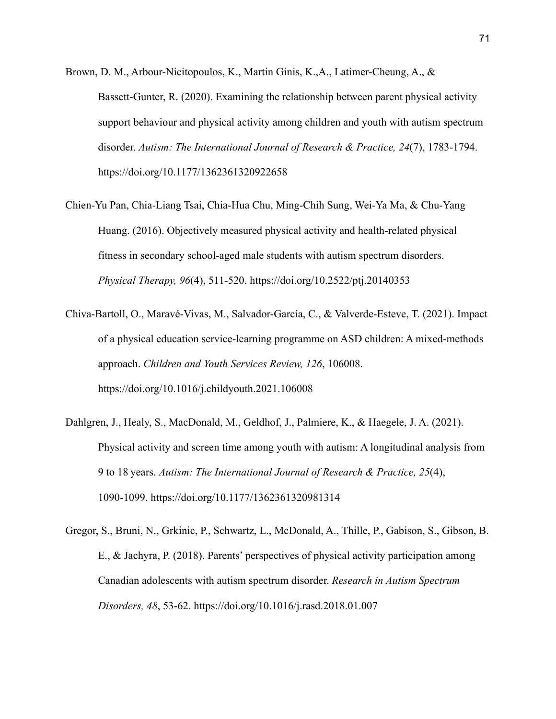- Brown, D. M., Arbour-Nicitopoulos, K., Martin Ginis, K.,A., Latimer-Cheung, A., & Bassett-Gunter, R. (2020). Examining the relationship between parent physical activity support behaviour and physical activity among children and youth with autism spectrum disorder. *Autism: The International Journal of Research & Practice, 24*(7), 1783-1794. [https://doi.org/1](https://doi.org/)0.1177/1362361320922658
- Chien-Yu Pan, Chia-Liang Tsai, Chia-Hua Chu, Ming-Chih Sung, Wei-Ya Ma, & Chu-Yang Huang. (2016). Objectively measured physical activity and health-related physical fitness in secondary school-aged male students with autism spectrum disorders. *Physical Therapy, 96*(4), 511-520. [https://doi.org/1](https://doi.org/)0.2522/ptj.20140353
- Chiva-Bartoll, O., Maravé-Vivas, M., Salvador-García, C., & Valverde-Esteve, T. (2021). Impact of a physical education service-learning programme on ASD children: A mixed-methods approach. *Children and Youth Services Review, 126*, 106008. [https://doi.org/1](https://doi.org/)0.1016/j.childyouth.2021.106008
- Dahlgren, J., Healy, S., MacDonald, M., Geldhof, J., Palmiere, K., & Haegele, J. A. (2021). Physical activity and screen time among youth with autism: A longitudinal analysis from 9 to 18 years. *Autism: The International Journal of Research & Practice, 25*(4), 1090-1099. [https://doi.org/1](https://doi.org/)0.1177/1362361320981314
- Gregor, S., Bruni, N., Grkinic, P., Schwartz, L., McDonald, A., Thille, P., Gabison, S., Gibson, B. E., & Jachyra, P. (2018). Parents' perspectives of physical activity participation among Canadian adolescents with autism spectrum disorder. *Research in Autism Spectrum Disorders, 48*, 53-62.<https://doi.org/>10.1016/j.rasd.2018.01.007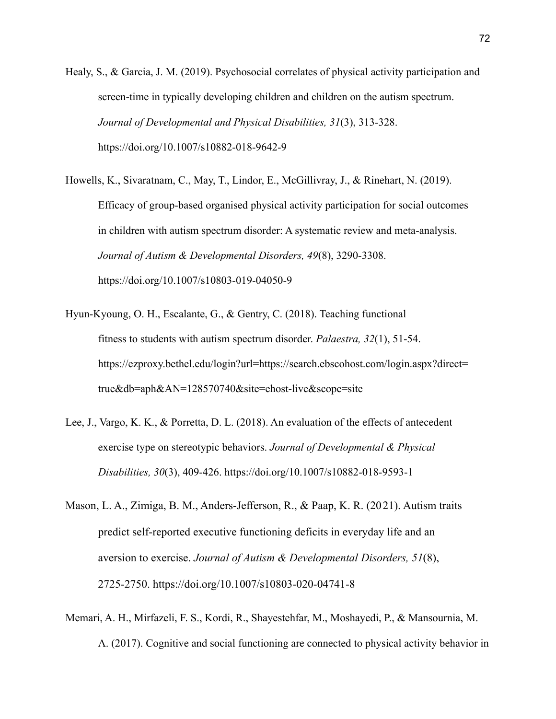Healy, S., & Garcia, J. M. (2019). Psychosocial correlates of physical activity participation and screen-time in typically developing children and children on the autism spectrum. *Journal of Developmental and Physical Disabilities, 31*(3), 313-328. [https://doi.org/1](https://doi.org/)0.1007/s10882-018-9642-9

Howells, K., Sivaratnam, C., May, T., Lindor, E., McGillivray, J., & Rinehart, N. (2019). Efficacy of group-based organised physical activity participation for social outcomes in children with autism spectrum disorder: A systematic review and meta-analysis. *Journal of Autism & Developmental Disorders, 49*(8), 3290-3308. [https://doi.org/1](https://doi.org/)0.1007/s10803-019-04050-9

- Hyun-Kyoung, O. H., Escalante, G., & Gentry, C. (2018). Teaching functional fitness to students with autism spectrum disorder. *Palaestra, 32*(1), 51-54. [https://ezproxy.bethel.edu/login?url=https://search.ebscohost.com/login.aspx?direct=](https://ezproxy.bethel.edu/login?url=https://search.ebscohost.com/login.aspx?direct=true&db=aph&AN=128570740&site=ehost-live&scope=site) [true&db=aph&AN=128570740&site=ehost-live&scope=site](https://ezproxy.bethel.edu/login?url=https://search.ebscohost.com/login.aspx?direct=true&db=aph&AN=128570740&site=ehost-live&scope=site)
- Lee, J., Vargo, K. K., & Porretta, D. L. (2018). An evaluation of the effects of antecedent exercise type on stereotypic behaviors. *Journal of Developmental & Physical Disabilities, 30*(3), 409-426.<https://doi.org/>10.1007/s10882-018-9593-1
- Mason, L. A., Zimiga, B. M., Anders-Jefferson, R., & Paap, K. R. (2021). Autism traits predict self-reported executive functioning deficits in everyday life and an aversion to exercise. *Journal of Autism & Developmental Disorders, 51*(8), 2725-2750.<https://doi.org/>10.1007/s10803-020-04741-8
- Memari, A. H., Mirfazeli, F. S., Kordi, R., Shayestehfar, M., Moshayedi, P., & Mansournia, M. A. (2017). Cognitive and social functioning are connected to physical activity behavior in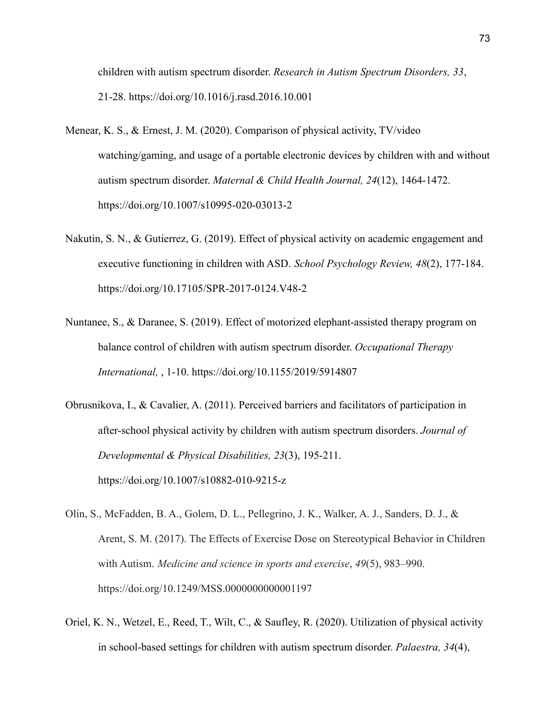children with autism spectrum disorder. *Research in Autism Spectrum Disorders, 33*, 21-28. [https://doi.org/1](https://doi.org/)0.1016/j.rasd.2016.10.001

- Menear, K. S., & Ernest, J. M. (2020). Comparison of physical activity, TV/video watching/gaming, and usage of a portable electronic devices by children with and without autism spectrum disorder. *Maternal & Child Health Journal, 24*(12), 1464-1472. [https://doi.org/1](https://doi.org/)0.1007/s10995-020-03013-2
- Nakutin, S. N., & Gutierrez, G. (2019). Effect of physical activity on academic engagement and executive functioning in children with ASD. *School Psychology Review, 48*(2), 177-184. [https://doi.org/1](https://doi.org/)0.17105/SPR-2017-0124.V48-2
- Nuntanee, S., & Daranee, S. (2019). Effect of motorized elephant-assisted therapy program on balance control of children with autism spectrum disorder. *Occupational Therapy International,* , 1-10.<https://doi.org/>10.1155/2019/5914807
- Obrusnikova, I., & Cavalier, A. (2011). Perceived barriers and facilitators of participation in after-school physical activity by children with autism spectrum disorders. *Journal of Developmental & Physical Disabilities, 23*(3), 195-211. [https://doi.org/1](https://doi.org/)0.1007/s10882-010-9215-z
- Olin, S., McFadden, B. A., Golem, D. L., Pellegrino, J. K., Walker, A. J., Sanders, D. J., & Arent, S. M. (2017). The Effects of Exercise Dose on Stereotypical Behavior in Children with Autism. *Medicine and science in sports and exercise*, *49*(5), 983–990. https://doi.org/10.1249/MSS.0000000000001197
- Oriel, K. N., Wetzel, E., Reed, T., Wilt, C., & Saufley, R. (2020). Utilization of physical activity in school-based settings for children with autism spectrum disorder. *Palaestra, 34*(4),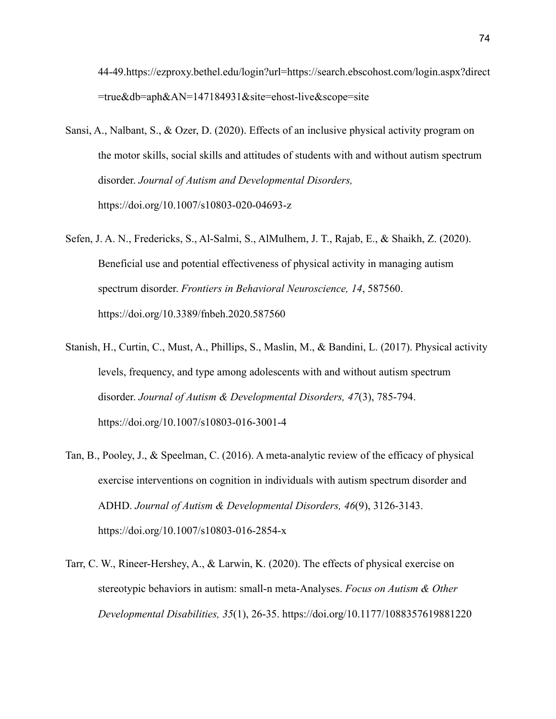44-49.[https://ezproxy.bethel.edu/login?url=https://search.ebscohost.com/login.aspx?direct](https://ezproxy.bethel.edu/login?url=https://search.ebscohost.com/login.aspx?direct=true&db=aph&AN=147184931&site=ehost-live&scope=site) [=true&db=aph&AN=147184931&site=ehost-live&scope=site](https://ezproxy.bethel.edu/login?url=https://search.ebscohost.com/login.aspx?direct=true&db=aph&AN=147184931&site=ehost-live&scope=site)

- Sansi, A., Nalbant, S., & Ozer, D. (2020). Effects of an inclusive physical activity program on the motor skills, social skills and attitudes of students with and without autism spectrum disorder. *Journal of Autism and Developmental Disorders,* [https://doi.org/1](https://doi.org/)0.1007/s10803-020-04693-z
- Sefen, J. A. N., Fredericks, S., Al-Salmi, S., AlMulhem, J. T., Rajab, E., & Shaikh, Z. (2020). Beneficial use and potential effectiveness of physical activity in managing autism spectrum disorder. *Frontiers in Behavioral Neuroscience, 14*, 587560. [https://doi.org/1](https://doi.org/)0.3389/fnbeh.2020.587560
- Stanish, H., Curtin, C., Must, A., Phillips, S., Maslin, M., & Bandini, L. (2017). Physical activity levels, frequency, and type among adolescents with and without autism spectrum disorder. *Journal of Autism & Developmental Disorders, 47*(3), 785-794. [https://doi.org/1](https://doi.org/)0.1007/s10803-016-3001-4
- Tan, B., Pooley, J., & Speelman, C. (2016). A meta-analytic review of the efficacy of physical exercise interventions on cognition in individuals with autism spectrum disorder and ADHD. *Journal of Autism & Developmental Disorders, 46*(9), 3126-3143. [https://doi.org/1](https://doi.org/)0.1007/s10803-016-2854-x
- Tarr, C. W., Rineer-Hershey, A., & Larwin, K. (2020). The effects of physical exercise on stereotypic behaviors in autism: small-n meta-Analyses. *Focus on Autism & Other Developmental Disabilities, 35*(1), 26-35. [https://doi.org/1](https://doi.org/)0.1177/1088357619881220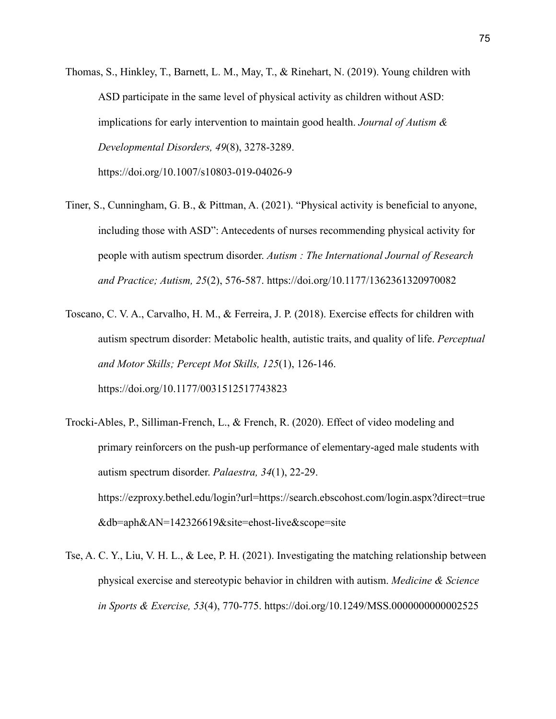- Thomas, S., Hinkley, T., Barnett, L. M., May, T., & Rinehart, N. (2019). Young children with ASD participate in the same level of physical activity as children without ASD: implications for early intervention to maintain good health. *Journal of Autism & Developmental Disorders, 49*(8), 3278-3289. [https://doi.org/1](https://doi.org/)0.1007/s10803-019-04026-9
- Tiner, S., Cunningham, G. B., & Pittman, A. (2021). "Physical activity is beneficial to anyone, including those with ASD": Antecedents of nurses recommending physical activity for people with autism spectrum disorder. *Autism : The International Journal of Research and Practice; Autism, 25*(2), 576-587. [https://doi.org/1](https://doi.org/)0.1177/1362361320970082
- Toscano, C. V. A., Carvalho, H. M., & Ferreira, J. P. (2018). Exercise effects for children with autism spectrum disorder: Metabolic health, autistic traits, and quality of life. *Perceptual and Motor Skills; Percept Mot Skills, 125*(1), 126-146. [https://doi.org/1](https://doi.org/)0.1177/0031512517743823
- Trocki-Ables, P., Silliman-French, L., & French, R. (2020). Effect of video modeling and primary reinforcers on the push-up performance of elementary-aged male students with autism spectrum disorder. *Palaestra, 34*(1), 22-29. [https://ezproxy.bethel.edu/login?url=https://search.ebscohost.com/login.aspx?direct=true](https://ezproxy.bethel.edu/login?url=https://search.ebscohost.com/login.aspx?direct=true&db=aph&AN=142326619&site=ehost-live&scope=site) [&db=aph&AN=142326619&site=ehost-live&scope=site](https://ezproxy.bethel.edu/login?url=https://search.ebscohost.com/login.aspx?direct=true&db=aph&AN=142326619&site=ehost-live&scope=site)
- Tse, A. C. Y., Liu, V. H. L., & Lee, P. H. (2021). Investigating the matching relationship between physical exercise and stereotypic behavior in children with autism. *Medicine & Science in Sports & Exercise, 53*(4), 770-775. [https://doi.org/1](https://doi.org/)0.1249/MSS.0000000000002525